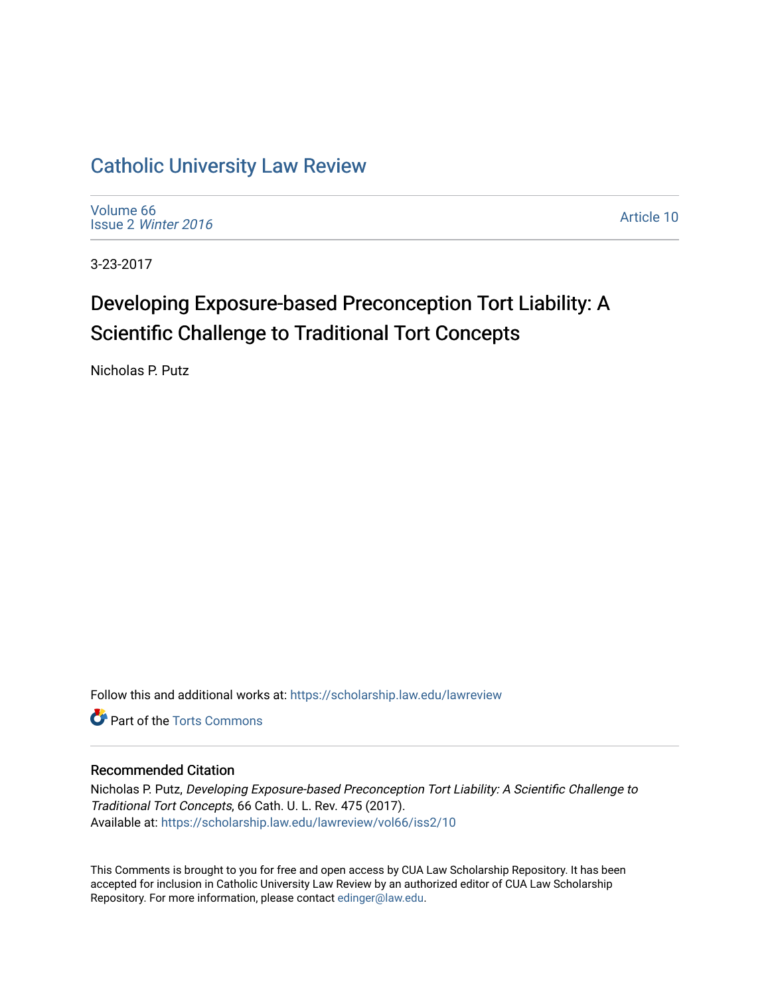## [Catholic University Law Review](https://scholarship.law.edu/lawreview)

[Volume 66](https://scholarship.law.edu/lawreview/vol66) Issue 2 [Winter 2016](https://scholarship.law.edu/lawreview/vol66/iss2) 

[Article 10](https://scholarship.law.edu/lawreview/vol66/iss2/10) 

3-23-2017

# Developing Exposure-based Preconception Tort Liability: A Scientific Challenge to Traditional Tort Concepts

Nicholas P. Putz

Follow this and additional works at: [https://scholarship.law.edu/lawreview](https://scholarship.law.edu/lawreview?utm_source=scholarship.law.edu%2Flawreview%2Fvol66%2Fiss2%2F10&utm_medium=PDF&utm_campaign=PDFCoverPages)

**C** Part of the [Torts Commons](http://network.bepress.com/hgg/discipline/913?utm_source=scholarship.law.edu%2Flawreview%2Fvol66%2Fiss2%2F10&utm_medium=PDF&utm_campaign=PDFCoverPages)

## Recommended Citation

Nicholas P. Putz, Developing Exposure-based Preconception Tort Liability: A Scientific Challenge to Traditional Tort Concepts, 66 Cath. U. L. Rev. 475 (2017). Available at: [https://scholarship.law.edu/lawreview/vol66/iss2/10](https://scholarship.law.edu/lawreview/vol66/iss2/10?utm_source=scholarship.law.edu%2Flawreview%2Fvol66%2Fiss2%2F10&utm_medium=PDF&utm_campaign=PDFCoverPages) 

This Comments is brought to you for free and open access by CUA Law Scholarship Repository. It has been accepted for inclusion in Catholic University Law Review by an authorized editor of CUA Law Scholarship Repository. For more information, please contact [edinger@law.edu.](mailto:edinger@law.edu)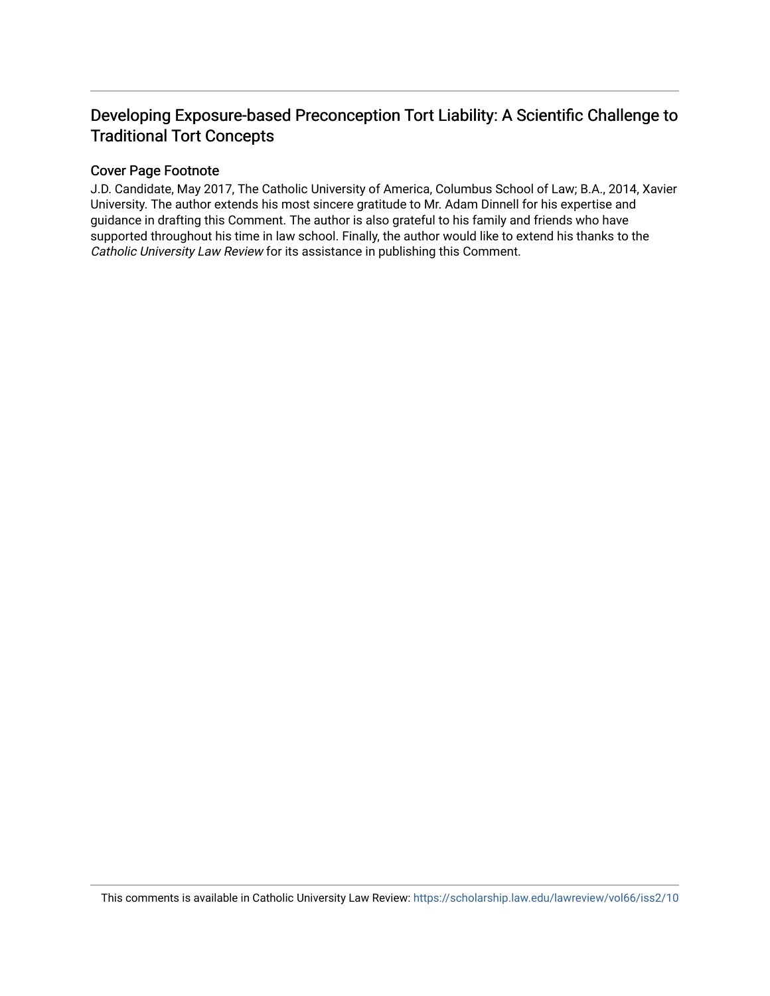## Developing Exposure-based Preconception Tort Liability: A Scientific Challenge to Traditional Tort Concepts

## Cover Page Footnote

J.D. Candidate, May 2017, The Catholic University of America, Columbus School of Law; B.A., 2014, Xavier University. The author extends his most sincere gratitude to Mr. Adam Dinnell for his expertise and guidance in drafting this Comment. The author is also grateful to his family and friends who have supported throughout his time in law school. Finally, the author would like to extend his thanks to the Catholic University Law Review for its assistance in publishing this Comment.

This comments is available in Catholic University Law Review: <https://scholarship.law.edu/lawreview/vol66/iss2/10>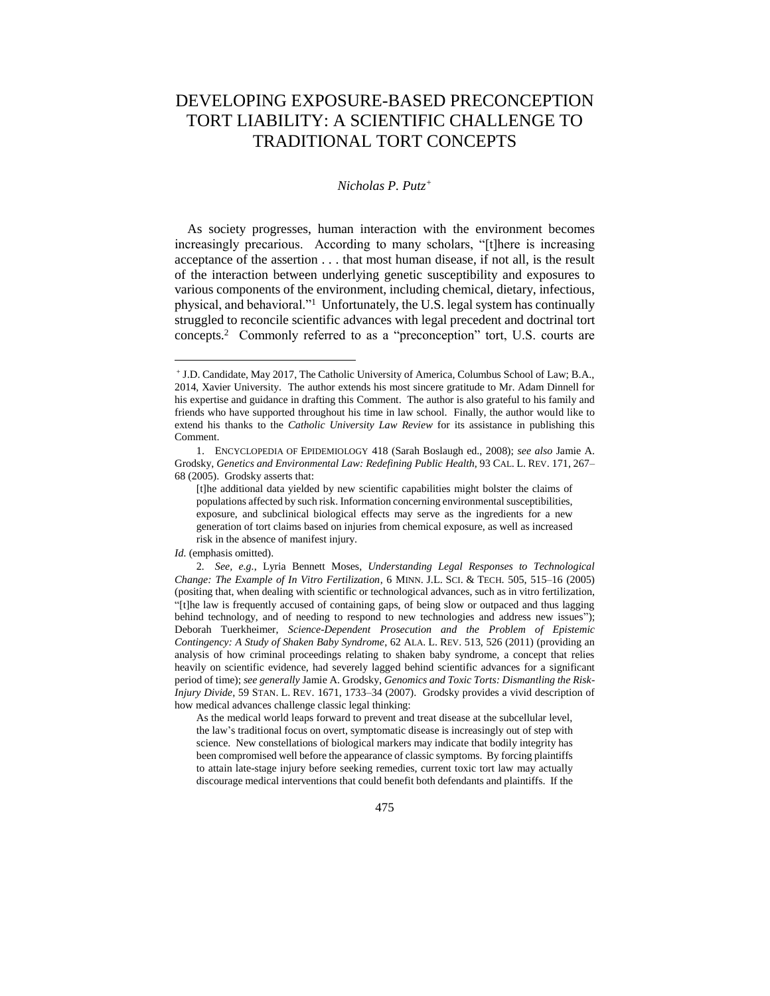## DEVELOPING EXPOSURE-BASED PRECONCEPTION TORT LIABILITY: A SCIENTIFIC CHALLENGE TO TRADITIONAL TORT CONCEPTS

## *Nicholas P. Putz<sup>+</sup>*

As society progresses, human interaction with the environment becomes increasingly precarious. According to many scholars, "[t]here is increasing acceptance of the assertion . . . that most human disease, if not all, is the result of the interaction between underlying genetic susceptibility and exposures to various components of the environment, including chemical, dietary, infectious, physical, and behavioral."<sup>1</sup> Unfortunately, the U.S. legal system has continually struggled to reconcile scientific advances with legal precedent and doctrinal tort concepts.<sup>2</sup> Commonly referred to as a "preconception" tort, U.S. courts are

As the medical world leaps forward to prevent and treat disease at the subcellular level, the law's traditional focus on overt, symptomatic disease is increasingly out of step with science. New constellations of biological markers may indicate that bodily integrity has been compromised well before the appearance of classic symptoms. By forcing plaintiffs to attain late-stage injury before seeking remedies, current toxic tort law may actually discourage medical interventions that could benefit both defendants and plaintiffs. If the

<sup>+</sup> J.D. Candidate, May 2017, The Catholic University of America, Columbus School of Law; B.A., 2014, Xavier University. The author extends his most sincere gratitude to Mr. Adam Dinnell for his expertise and guidance in drafting this Comment. The author is also grateful to his family and friends who have supported throughout his time in law school. Finally, the author would like to extend his thanks to the *Catholic University Law Review* for its assistance in publishing this Comment.

<sup>1.</sup> ENCYCLOPEDIA OF EPIDEMIOLOGY 418 (Sarah Boslaugh ed., 2008); *see also* Jamie A. Grodsky, *Genetics and Environmental Law: Redefining Public Health*, 93 CAL. L. REV. 171, 267– 68 (2005). Grodsky asserts that:

<sup>[</sup>t]he additional data yielded by new scientific capabilities might bolster the claims of populations affected by such risk. Information concerning environmental susceptibilities, exposure, and subclinical biological effects may serve as the ingredients for a new generation of tort claims based on injuries from chemical exposure, as well as increased risk in the absence of manifest injury.

*Id.* (emphasis omitted).

<sup>2</sup>*. See, e.g.*, Lyria Bennett Moses, *Understanding Legal Responses to Technological Change: The Example of In Vitro Fertilization*, 6 MINN. J.L. SCI. & TECH. 505, 515–16 (2005) (positing that, when dealing with scientific or technological advances, such as in vitro fertilization, "[t]he law is frequently accused of containing gaps, of being slow or outpaced and thus lagging behind technology, and of needing to respond to new technologies and address new issues"); Deborah Tuerkheimer, *Science-Dependent Prosecution and the Problem of Epistemic Contingency: A Study of Shaken Baby Syndrome*, 62 ALA. L. REV. 513, 526 (2011) (providing an analysis of how criminal proceedings relating to shaken baby syndrome, a concept that relies heavily on scientific evidence, had severely lagged behind scientific advances for a significant period of time); *see generally* Jamie A. Grodsky, *Genomics and Toxic Torts: Dismantling the Risk-Injury Divide*, 59 STAN. L. REV. 1671, 1733–34 (2007). Grodsky provides a vivid description of how medical advances challenge classic legal thinking: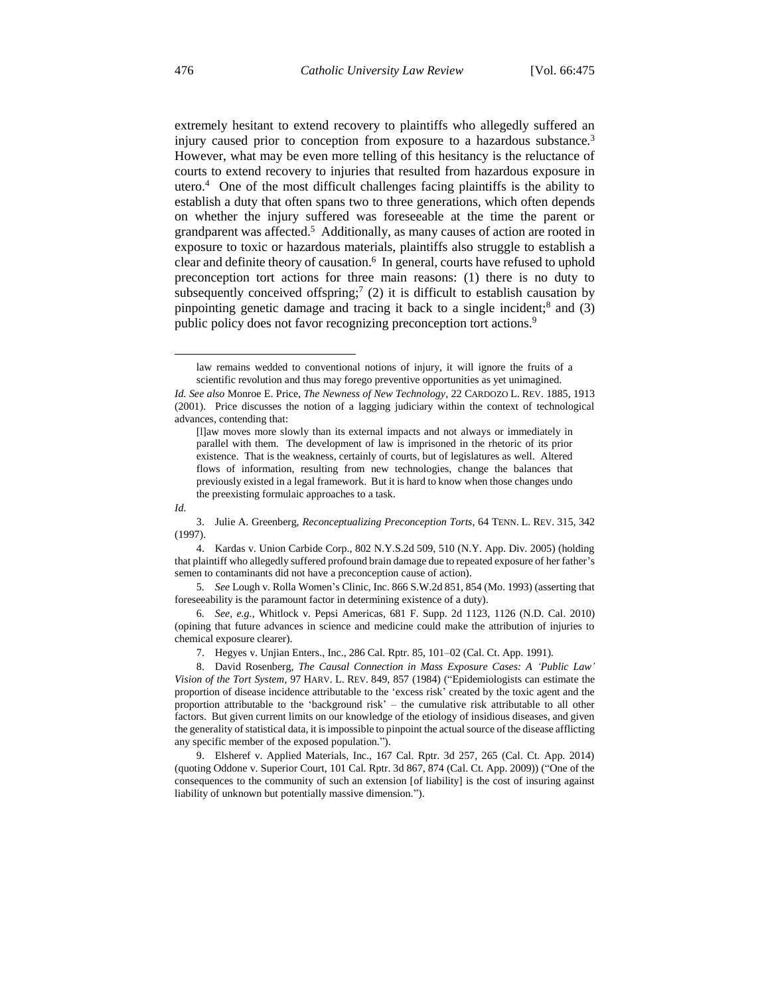extremely hesitant to extend recovery to plaintiffs who allegedly suffered an injury caused prior to conception from exposure to a hazardous substance.<sup>3</sup> However, what may be even more telling of this hesitancy is the reluctance of courts to extend recovery to injuries that resulted from hazardous exposure in utero.<sup>4</sup> One of the most difficult challenges facing plaintiffs is the ability to establish a duty that often spans two to three generations, which often depends on whether the injury suffered was foreseeable at the time the parent or grandparent was affected.<sup>5</sup> Additionally, as many causes of action are rooted in exposure to toxic or hazardous materials, plaintiffs also struggle to establish a clear and definite theory of causation.<sup>6</sup> In general, courts have refused to uphold preconception tort actions for three main reasons: (1) there is no duty to subsequently conceived offspring;<sup>7</sup> (2) it is difficult to establish causation by pinpointing genetic damage and tracing it back to a single incident;<sup>8</sup> and (3) public policy does not favor recognizing preconception tort actions.<sup>9</sup>

law remains wedded to conventional notions of injury, it will ignore the fruits of a scientific revolution and thus may forego preventive opportunities as yet unimagined.

*Id.*

*Id. See also* Monroe E. Price, *The Newness of New Technology*, 22 CARDOZO L. REV. 1885, 1913 (2001). Price discusses the notion of a lagging judiciary within the context of technological advances, contending that:

<sup>[</sup>l]aw moves more slowly than its external impacts and not always or immediately in parallel with them. The development of law is imprisoned in the rhetoric of its prior existence. That is the weakness, certainly of courts, but of legislatures as well. Altered flows of information, resulting from new technologies, change the balances that previously existed in a legal framework. But it is hard to know when those changes undo the preexisting formulaic approaches to a task.

<sup>3.</sup> Julie A. Greenberg, *Reconceptualizing Preconception Torts*, 64 TENN. L. REV. 315, 342 (1997).

<sup>4.</sup> Kardas v. Union Carbide Corp., 802 N.Y.S.2d 509, 510 (N.Y. App. Div. 2005) (holding that plaintiff who allegedly suffered profound brain damage due to repeated exposure of her father's semen to contaminants did not have a preconception cause of action).

<sup>5</sup>*. See* Lough v. Rolla Women's Clinic, Inc. 866 S.W.2d 851, 854 (Mo. 1993) (asserting that foreseeability is the paramount factor in determining existence of a duty).

<sup>6</sup>*. See, e.g.*, Whitlock v. Pepsi Americas, 681 F. Supp. 2d 1123, 1126 (N.D. Cal. 2010) (opining that future advances in science and medicine could make the attribution of injuries to chemical exposure clearer).

<sup>7.</sup> Hegyes v. Unjian Enters., Inc., 286 Cal. Rptr. 85, 101–02 (Cal. Ct. App. 1991).

<sup>8.</sup> David Rosenberg, *The Causal Connection in Mass Exposure Cases: A 'Public Law' Vision of the Tort System*, 97 HARV. L. REV. 849, 857 (1984) ("Epidemiologists can estimate the proportion of disease incidence attributable to the 'excess risk' created by the toxic agent and the proportion attributable to the 'background risk' – the cumulative risk attributable to all other factors. But given current limits on our knowledge of the etiology of insidious diseases, and given the generality of statistical data, it is impossible to pinpoint the actual source of the disease afflicting any specific member of the exposed population.").

<sup>9.</sup> Elsheref v. Applied Materials, Inc., 167 Cal. Rptr. 3d 257, 265 (Cal. Ct. App. 2014) (quoting Oddone v. Superior Court, 101 Cal. Rptr. 3d 867, 874 (Cal. Ct. App. 2009)) ("One of the consequences to the community of such an extension [of liability] is the cost of insuring against liability of unknown but potentially massive dimension.").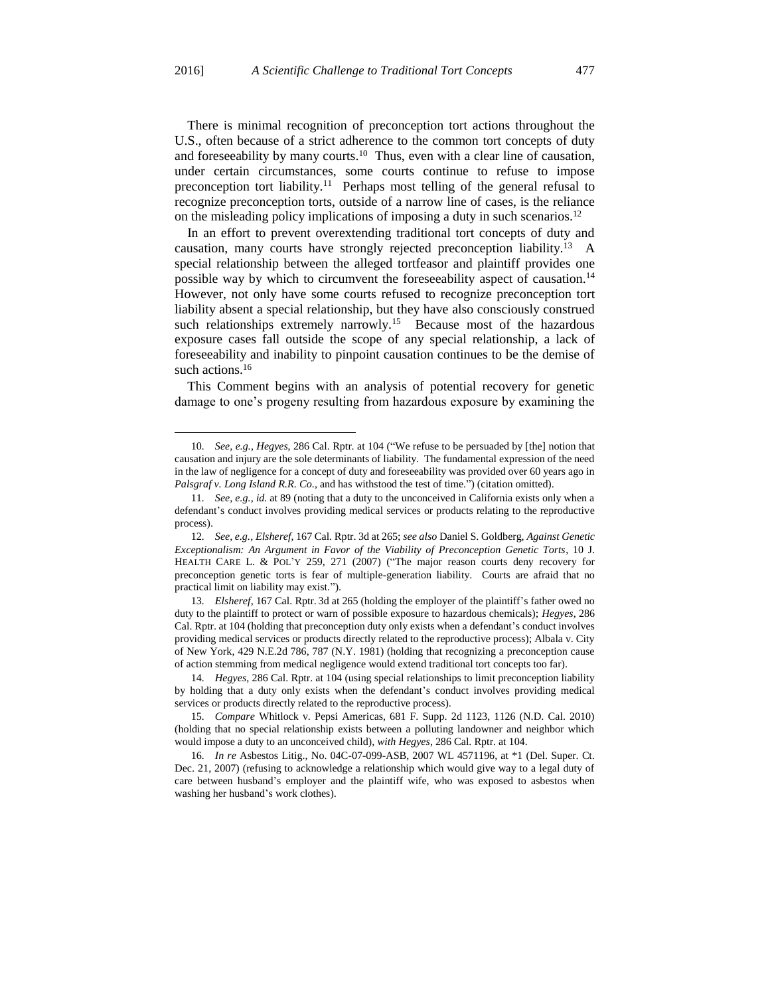There is minimal recognition of preconception tort actions throughout the U.S., often because of a strict adherence to the common tort concepts of duty and foreseeability by many courts.<sup>10</sup> Thus, even with a clear line of causation, under certain circumstances, some courts continue to refuse to impose preconception tort liability.<sup>11</sup> Perhaps most telling of the general refusal to recognize preconception torts, outside of a narrow line of cases, is the reliance on the misleading policy implications of imposing a duty in such scenarios.<sup>12</sup>

In an effort to prevent overextending traditional tort concepts of duty and causation, many courts have strongly rejected preconception liability.<sup>13</sup> A special relationship between the alleged tortfeasor and plaintiff provides one possible way by which to circumvent the foreseeability aspect of causation.<sup>14</sup> However, not only have some courts refused to recognize preconception tort liability absent a special relationship, but they have also consciously construed such relationships extremely narrowly.<sup>15</sup> Because most of the hazardous exposure cases fall outside the scope of any special relationship, a lack of foreseeability and inability to pinpoint causation continues to be the demise of such actions.<sup>16</sup>

This Comment begins with an analysis of potential recovery for genetic damage to one's progeny resulting from hazardous exposure by examining the

 $\overline{a}$ 

<sup>10</sup>*. See, e.g.*, *Hegyes*, 286 Cal. Rptr. at 104 ("We refuse to be persuaded by [the] notion that causation and injury are the sole determinants of liability. The fundamental expression of the need in the law of negligence for a concept of duty and foreseeability was provided over 60 years ago in *Palsgraf v. Long Island R.R. Co.*, and has withstood the test of time.") (citation omitted).

<sup>11</sup>*. See, e.g.*, *id.* at 89 (noting that a duty to the unconceived in California exists only when a defendant's conduct involves providing medical services or products relating to the reproductive process).

<sup>12</sup>*. See, e.g.*, *Elsheref*, 167 Cal. Rptr. 3d at 265; *see also* Daniel S. Goldberg, *Against Genetic Exceptionalism: An Argument in Favor of the Viability of Preconception Genetic Torts*, 10 J. HEALTH CARE L. & POL'Y 259, 271 (2007) ("The major reason courts deny recovery for preconception genetic torts is fear of multiple-generation liability. Courts are afraid that no practical limit on liability may exist.").

<sup>13</sup>*. Elsheref*, 167 Cal. Rptr. 3d at 265 (holding the employer of the plaintiff's father owed no duty to the plaintiff to protect or warn of possible exposure to hazardous chemicals); *Hegyes*, 286 Cal. Rptr. at 104 (holding that preconception duty only exists when a defendant's conduct involves providing medical services or products directly related to the reproductive process); Albala v. City of New York, 429 N.E.2d 786, 787 (N.Y. 1981) (holding that recognizing a preconception cause of action stemming from medical negligence would extend traditional tort concepts too far).

<sup>14</sup>*. Hegyes*, 286 Cal. Rptr. at 104 (using special relationships to limit preconception liability by holding that a duty only exists when the defendant's conduct involves providing medical services or products directly related to the reproductive process).

<sup>15</sup>*. Compare* Whitlock v. Pepsi Americas, 681 F. Supp. 2d 1123, 1126 (N.D. Cal. 2010) (holding that no special relationship exists between a polluting landowner and neighbor which would impose a duty to an unconceived child), *with Hegyes*, 286 Cal. Rptr. at 104.

<sup>16</sup>*. In re* Asbestos Litig., No. 04C-07-099-ASB, 2007 WL 4571196, at \*1 (Del. Super. Ct. Dec. 21, 2007) (refusing to acknowledge a relationship which would give way to a legal duty of care between husband's employer and the plaintiff wife, who was exposed to asbestos when washing her husband's work clothes).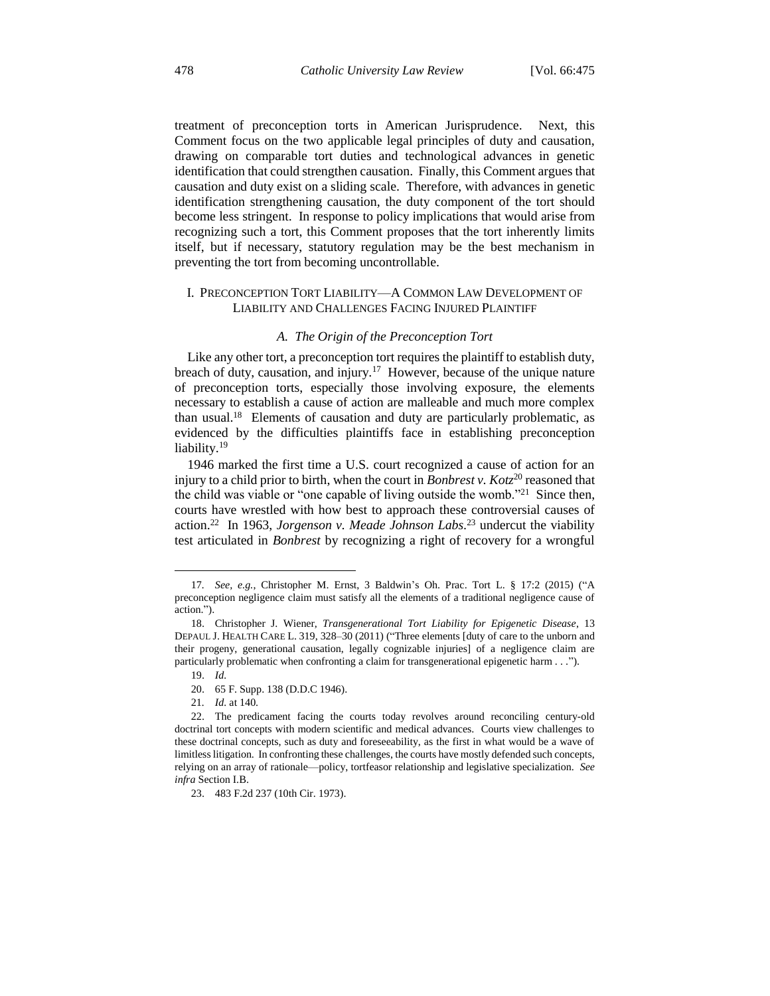treatment of preconception torts in American Jurisprudence. Next, this Comment focus on the two applicable legal principles of duty and causation, drawing on comparable tort duties and technological advances in genetic identification that could strengthen causation. Finally, this Comment argues that causation and duty exist on a sliding scale. Therefore, with advances in genetic identification strengthening causation, the duty component of the tort should become less stringent. In response to policy implications that would arise from recognizing such a tort, this Comment proposes that the tort inherently limits itself, but if necessary, statutory regulation may be the best mechanism in preventing the tort from becoming uncontrollable.

## I. PRECONCEPTION TORT LIABILITY—A COMMON LAW DEVELOPMENT OF LIABILITY AND CHALLENGES FACING INJURED PLAINTIFF

#### *A. The Origin of the Preconception Tort*

Like any other tort, a preconception tort requires the plaintiff to establish duty, breach of duty, causation, and injury.<sup>17</sup> However, because of the unique nature of preconception torts, especially those involving exposure, the elements necessary to establish a cause of action are malleable and much more complex than usual.<sup>18</sup> Elements of causation and duty are particularly problematic, as evidenced by the difficulties plaintiffs face in establishing preconception liability.<sup>19</sup>

1946 marked the first time a U.S. court recognized a cause of action for an injury to a child prior to birth, when the court in *Bonbrest v. Kot*<sub>z</sub><sup>20</sup> reasoned that the child was viable or "one capable of living outside the womb."<sup>21</sup> Since then, courts have wrestled with how best to approach these controversial causes of action.<sup>22</sup> In 1963, *Jorgenson v. Meade Johnson Labs.*<sup>23</sup> undercut the viability test articulated in *Bonbrest* by recognizing a right of recovery for a wrongful

<sup>17</sup>*. See, e.g.*, Christopher M. Ernst, 3 Baldwin's Oh. Prac. Tort L. § 17:2 (2015) ("A preconception negligence claim must satisfy all the elements of a traditional negligence cause of action.").

<sup>18.</sup> Christopher J. Wiener, *Transgenerational Tort Liability for Epigenetic Disease*, 13 DEPAUL J. HEALTH CARE L. 319, 328–30 (2011) ("Three elements [duty of care to the unborn and their progeny, generational causation, legally cognizable injuries] of a negligence claim are particularly problematic when confronting a claim for transgenerational epigenetic harm . . .").

<sup>19.</sup> *Id.*

<sup>20.</sup> 65 F. Supp. 138 (D.D.C 1946).

<sup>21</sup>*. Id.* at 140.

<sup>22.</sup> The predicament facing the courts today revolves around reconciling century-old doctrinal tort concepts with modern scientific and medical advances. Courts view challenges to these doctrinal concepts, such as duty and foreseeability, as the first in what would be a wave of limitless litigation. In confronting these challenges, the courts have mostly defended such concepts, relying on an array of rationale—policy, tortfeasor relationship and legislative specialization. *See infra* Section I.B.

<sup>23.</sup> 483 F.2d 237 (10th Cir. 1973).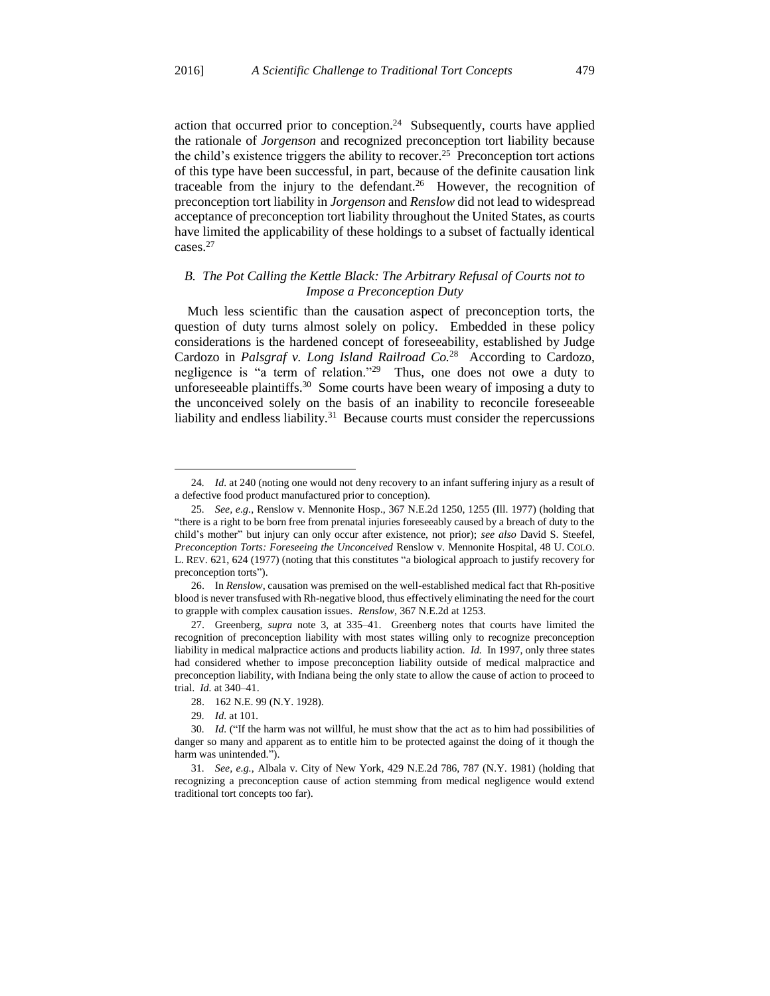action that occurred prior to conception.<sup>24</sup> Subsequently, courts have applied the rationale of *Jorgenson* and recognized preconception tort liability because the child's existence triggers the ability to recover.<sup>25</sup> Preconception tort actions of this type have been successful, in part, because of the definite causation link traceable from the injury to the defendant.<sup>26</sup> However, the recognition of preconception tort liability in *Jorgenson* and *Renslow* did not lead to widespread acceptance of preconception tort liability throughout the United States, as courts have limited the applicability of these holdings to a subset of factually identical cases.<sup>27</sup>

## *B. The Pot Calling the Kettle Black: The Arbitrary Refusal of Courts not to Impose a Preconception Duty*

Much less scientific than the causation aspect of preconception torts, the question of duty turns almost solely on policy. Embedded in these policy considerations is the hardened concept of foreseeability, established by Judge Cardozo in *Palsgraf v. Long Island Railroad Co.*<sup>28</sup> According to Cardozo, negligence is "a term of relation."<sup>29</sup> Thus, one does not owe a duty to unforeseeable plaintiffs.<sup>30</sup> Some courts have been weary of imposing a duty to the unconceived solely on the basis of an inability to reconcile foreseeable liability and endless liability.<sup>31</sup> Because courts must consider the repercussions

<sup>24</sup>*. Id.* at 240 (noting one would not deny recovery to an infant suffering injury as a result of a defective food product manufactured prior to conception).

<sup>25</sup>*. See, e.g.*, Renslow v. Mennonite Hosp., 367 N.E.2d 1250, 1255 (Ill. 1977) (holding that "there is a right to be born free from prenatal injuries foreseeably caused by a breach of duty to the child's mother" but injury can only occur after existence, not prior); *see also* David S. Steefel, *Preconception Torts: Foreseeing the Unconceived* Renslow v. Mennonite Hospital, 48 U. COLO. L. REV. 621, 624 (1977) (noting that this constitutes "a biological approach to justify recovery for preconception torts").

<sup>26.</sup> In *Renslow*, causation was premised on the well-established medical fact that Rh-positive blood is never transfused with Rh-negative blood, thus effectively eliminating the need for the court to grapple with complex causation issues. *Renslow*, 367 N.E.2d at 1253.

<sup>27.</sup> Greenberg, *supra* note 3, at 335–41. Greenberg notes that courts have limited the recognition of preconception liability with most states willing only to recognize preconception liability in medical malpractice actions and products liability action. *Id.* In 1997, only three states had considered whether to impose preconception liability outside of medical malpractice and preconception liability, with Indiana being the only state to allow the cause of action to proceed to trial. *Id.* at 340–41.

<sup>28.</sup> 162 N.E. 99 (N.Y. 1928).

<sup>29</sup>*. Id.* at 101.

<sup>30</sup>*. Id.* ("If the harm was not willful, he must show that the act as to him had possibilities of danger so many and apparent as to entitle him to be protected against the doing of it though the harm was unintended.").

<sup>31</sup>*. See, e.g.*, Albala v. City of New York, 429 N.E.2d 786, 787 (N.Y. 1981) (holding that recognizing a preconception cause of action stemming from medical negligence would extend traditional tort concepts too far).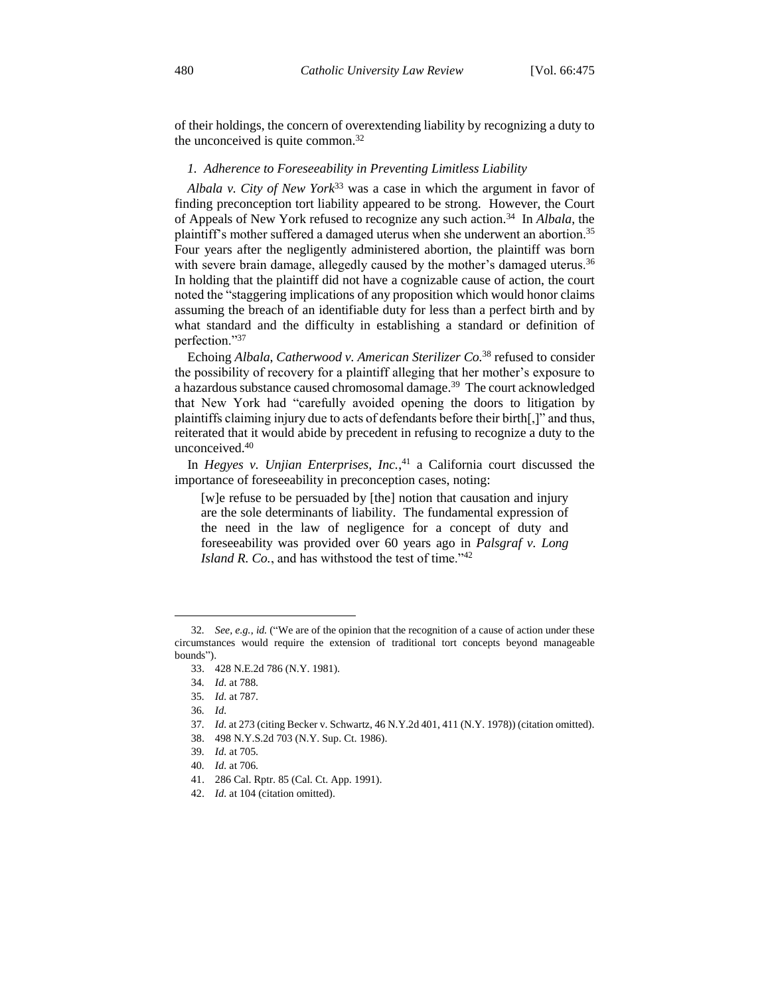of their holdings, the concern of overextending liability by recognizing a duty to the unconceived is quite common.<sup>32</sup>

#### *1. Adherence to Foreseeability in Preventing Limitless Liability*

*Albala v. City of New York*<sup>33</sup> was a case in which the argument in favor of finding preconception tort liability appeared to be strong. However, the Court of Appeals of New York refused to recognize any such action.<sup>34</sup> In *Albala*, the plaintiff's mother suffered a damaged uterus when she underwent an abortion.<sup>35</sup> Four years after the negligently administered abortion, the plaintiff was born with severe brain damage, allegedly caused by the mother's damaged uterus.<sup>36</sup> In holding that the plaintiff did not have a cognizable cause of action, the court noted the "staggering implications of any proposition which would honor claims assuming the breach of an identifiable duty for less than a perfect birth and by what standard and the difficulty in establishing a standard or definition of perfection."<sup>37</sup>

Echoing *Albala*, *Catherwood v. American Sterilizer Co.*<sup>38</sup> refused to consider the possibility of recovery for a plaintiff alleging that her mother's exposure to a hazardous substance caused chromosomal damage.<sup>39</sup> The court acknowledged that New York had "carefully avoided opening the doors to litigation by plaintiffs claiming injury due to acts of defendants before their birth[,]" and thus, reiterated that it would abide by precedent in refusing to recognize a duty to the unconceived.<sup>40</sup>

In *Hegyes v. Unjian Enterprises, Inc.*, <sup>41</sup> a California court discussed the importance of foreseeability in preconception cases, noting:

[w]e refuse to be persuaded by [the] notion that causation and injury are the sole determinants of liability. The fundamental expression of the need in the law of negligence for a concept of duty and foreseeability was provided over 60 years ago in *Palsgraf v. Long Island R. Co.*, and has withstood the test of time."<sup>42</sup>

37*. Id.* at 273 (citing Becker v. Schwartz, 46 N.Y.2d 401, 411 (N.Y. 1978)) (citation omitted).

38. 498 N.Y.S.2d 703 (N.Y. Sup. Ct. 1986).

40*. Id.* at 706.

42. *Id.* at 104 (citation omitted).

<sup>32</sup>*. See, e.g.*, *id.* ("We are of the opinion that the recognition of a cause of action under these circumstances would require the extension of traditional tort concepts beyond manageable bounds").

<sup>33.</sup> 428 N.E.2d 786 (N.Y. 1981).

<sup>34</sup>*. Id.* at 788.

<sup>35</sup>*. Id.* at 787.

<sup>36</sup>*. Id.*

<sup>39</sup>*. Id.* at 705.

<sup>41.</sup> 286 Cal. Rptr. 85 (Cal. Ct. App. 1991).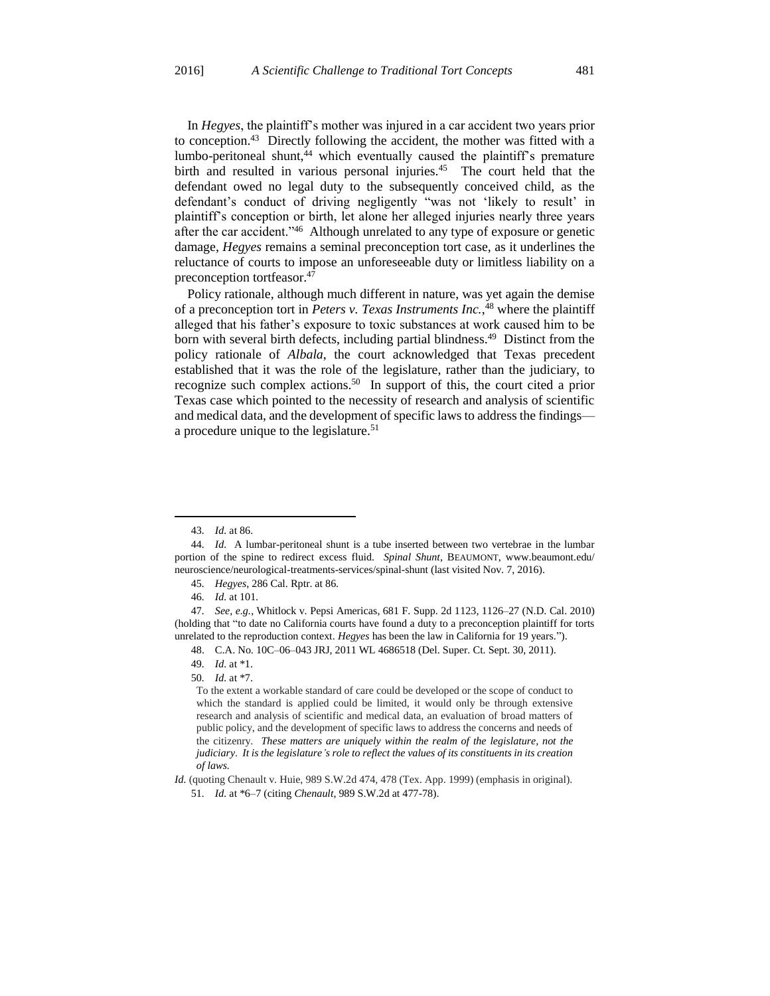In *Hegyes*, the plaintiff's mother was injured in a car accident two years prior to conception.<sup>43</sup> Directly following the accident, the mother was fitted with a lumbo-peritoneal shunt, $44$  which eventually caused the plaintiff's premature birth and resulted in various personal injuries.<sup>45</sup> The court held that the defendant owed no legal duty to the subsequently conceived child, as the defendant's conduct of driving negligently "was not 'likely to result' in plaintiff's conception or birth, let alone her alleged injuries nearly three years after the car accident."<sup>46</sup> Although unrelated to any type of exposure or genetic damage, *Hegyes* remains a seminal preconception tort case, as it underlines the reluctance of courts to impose an unforeseeable duty or limitless liability on a preconception tortfeasor.<sup>47</sup>

Policy rationale, although much different in nature, was yet again the demise of a preconception tort in *Peters v. Texas Instruments Inc.*, <sup>48</sup> where the plaintiff alleged that his father's exposure to toxic substances at work caused him to be born with several birth defects, including partial blindness.<sup>49</sup> Distinct from the policy rationale of *Albala*, the court acknowledged that Texas precedent established that it was the role of the legislature, rather than the judiciary, to recognize such complex actions.<sup>50</sup> In support of this, the court cited a prior Texas case which pointed to the necessity of research and analysis of scientific and medical data, and the development of specific laws to address the findings a procedure unique to the legislature.<sup>51</sup>

50*. Id.* at \*7.

<sup>43</sup>*. Id.* at 86.

<sup>44</sup>*. Id.* A lumbar-peritoneal shunt is a tube inserted between two vertebrae in the lumbar portion of the spine to redirect excess fluid. *Spinal Shunt*, BEAUMONT, www.beaumont.edu/ neuroscience/neurological-treatments-services/spinal-shunt (last visited Nov. 7, 2016).

<sup>45</sup>*. Hegyes*, 286 Cal. Rptr. at 86.

<sup>46</sup>*. Id.* at 101.

<sup>47</sup>*. See, e.g.*, Whitlock v. Pepsi Americas, 681 F. Supp. 2d 1123, 1126–27 (N.D. Cal. 2010) (holding that "to date no California courts have found a duty to a preconception plaintiff for torts unrelated to the reproduction context. *Hegyes* has been the law in California for 19 years.").

<sup>48.</sup> C.A. No. 10C–06–043 JRJ, 2011 WL 4686518 (Del. Super. Ct. Sept. 30, 2011).

<sup>49</sup>*. Id.* at \*1.

To the extent a workable standard of care could be developed or the scope of conduct to which the standard is applied could be limited, it would only be through extensive research and analysis of scientific and medical data, an evaluation of broad matters of public policy, and the development of specific laws to address the concerns and needs of the citizenry. *These matters are uniquely within the realm of the legislature, not the judiciary*. *It is the legislature's role to reflect the values of its constituents in its creation of laws.*

*Id.* (quoting Chenault v. Huie, 989 S.W.2d 474, 478 (Tex. App. 1999) (emphasis in original). 51*. Id.* at \*6–7 (citing *Chenault*, 989 S.W.2d at 477-78).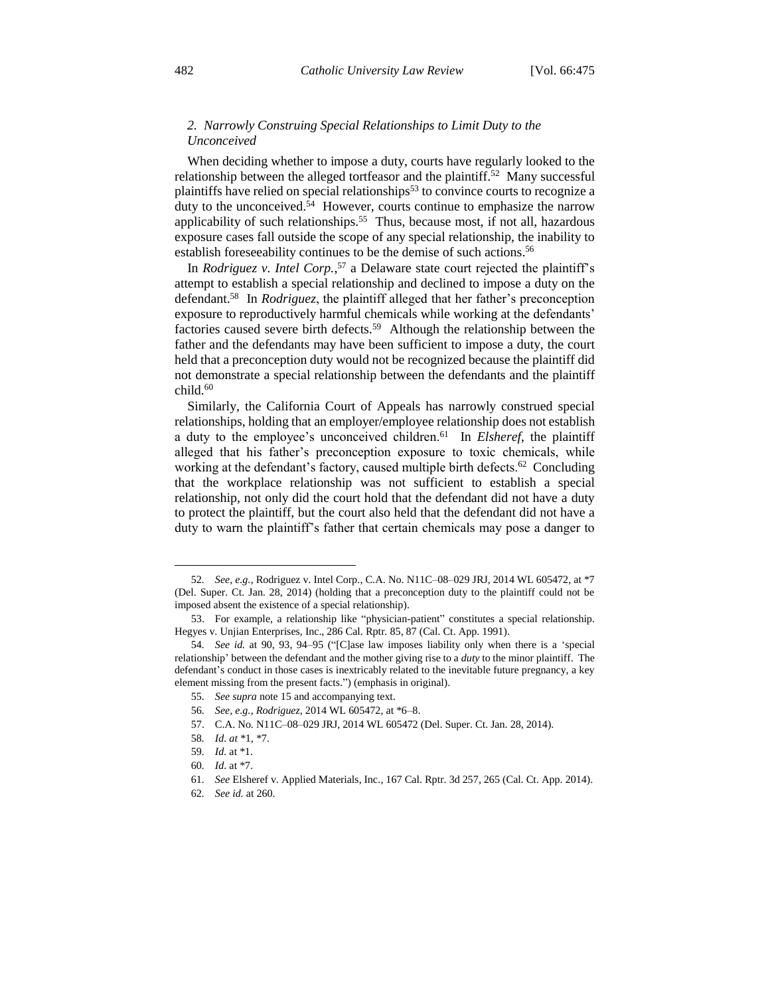## *2. Narrowly Construing Special Relationships to Limit Duty to the Unconceived*

When deciding whether to impose a duty, courts have regularly looked to the relationship between the alleged tortfeasor and the plaintiff.<sup>52</sup> Many successful plaintiffs have relied on special relationships<sup>53</sup> to convince courts to recognize a duty to the unconceived.<sup>54</sup> However, courts continue to emphasize the narrow applicability of such relationships.<sup>55</sup> Thus, because most, if not all, hazardous exposure cases fall outside the scope of any special relationship, the inability to establish foreseeability continues to be the demise of such actions.<sup>56</sup>

In *Rodriguez v. Intel Corp.*, <sup>57</sup> a Delaware state court rejected the plaintiff's attempt to establish a special relationship and declined to impose a duty on the defendant.<sup>58</sup> In *Rodriguez*, the plaintiff alleged that her father's preconception exposure to reproductively harmful chemicals while working at the defendants' factories caused severe birth defects.<sup>59</sup> Although the relationship between the father and the defendants may have been sufficient to impose a duty, the court held that a preconception duty would not be recognized because the plaintiff did not demonstrate a special relationship between the defendants and the plaintiff  $child.<sup>60</sup>$ 

Similarly, the California Court of Appeals has narrowly construed special relationships, holding that an employer/employee relationship does not establish a duty to the employee's unconceived children.<sup>61</sup> In *Elsheref*, the plaintiff alleged that his father's preconception exposure to toxic chemicals, while working at the defendant's factory, caused multiple birth defects.<sup>62</sup> Concluding that the workplace relationship was not sufficient to establish a special relationship, not only did the court hold that the defendant did not have a duty to protect the plaintiff, but the court also held that the defendant did not have a duty to warn the plaintiff's father that certain chemicals may pose a danger to

<sup>52</sup>*. See, e.g.*, Rodriguez v. Intel Corp., C.A. No. N11C–08–029 JRJ, 2014 WL 605472, at \*7 (Del. Super. Ct. Jan. 28, 2014) (holding that a preconception duty to the plaintiff could not be imposed absent the existence of a special relationship).

<sup>53.</sup> For example, a relationship like "physician-patient" constitutes a special relationship. Hegyes v. Unjian Enterprises, Inc., 286 Cal. Rptr. 85, 87 (Cal. Ct. App. 1991).

<sup>54</sup>*. See id.* at 90, 93, 94–95 ("[C]ase law imposes liability only when there is a 'special relationship' between the defendant and the mother giving rise to a *duty* to the minor plaintiff. The defendant's conduct in those cases is inextricably related to the inevitable future pregnancy, a key element missing from the present facts.") (emphasis in original).

<sup>55</sup>*. See supra* note 15 and accompanying text.

<sup>56</sup>*. See, e.g.*, *Rodriguez*, 2014 WL 605472, at \*6–8.

<sup>57.</sup> C.A. No. N11C–08–029 JRJ, 2014 WL 605472 (Del. Super. Ct. Jan. 28, 2014).

<sup>58</sup>*. Id. at* \*1, \*7.

<sup>59</sup>*. Id.* at \*1.

<sup>60</sup>*. Id.* at \*7.

<sup>61</sup>*. See* Elsheref v. Applied Materials, Inc., 167 Cal. Rptr. 3d 257, 265 (Cal. Ct. App. 2014).

<sup>62</sup>*. See id.* at 260.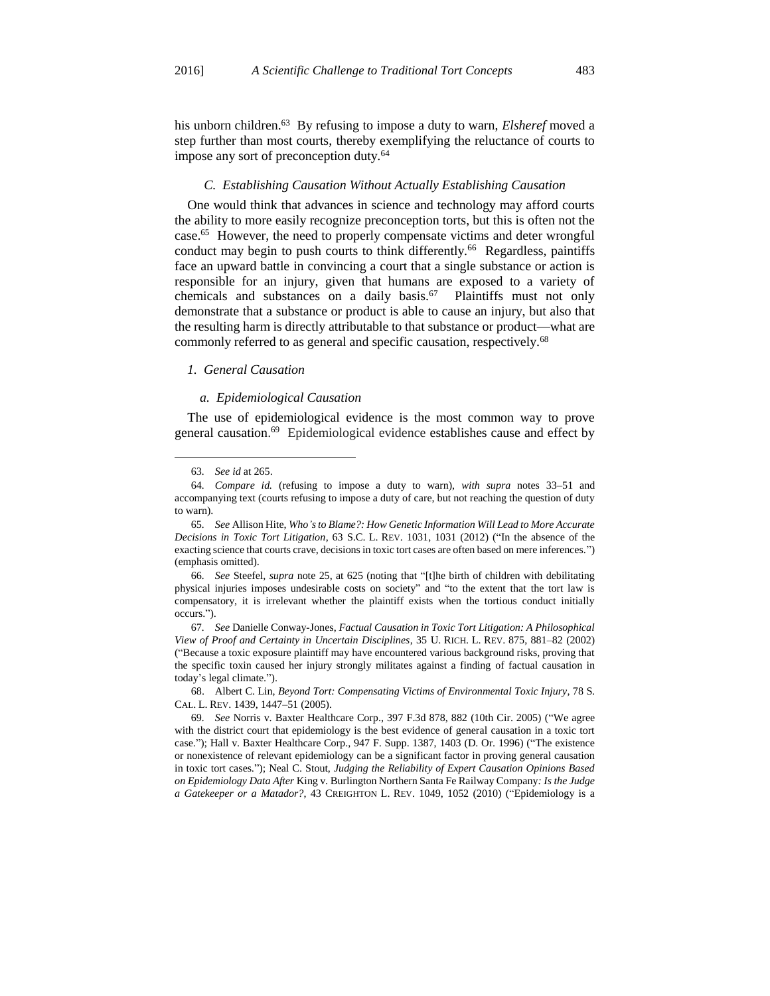his unborn children.<sup>63</sup> By refusing to impose a duty to warn, *Elsheref* moved a step further than most courts, thereby exemplifying the reluctance of courts to impose any sort of preconception duty.<sup>64</sup>

#### *C. Establishing Causation Without Actually Establishing Causation*

One would think that advances in science and technology may afford courts the ability to more easily recognize preconception torts, but this is often not the case.<sup>65</sup> However, the need to properly compensate victims and deter wrongful conduct may begin to push courts to think differently.<sup>66</sup> Regardless, paintiffs face an upward battle in convincing a court that a single substance or action is responsible for an injury, given that humans are exposed to a variety of chemicals and substances on a daily basis.<sup>67</sup> Plaintiffs must not only demonstrate that a substance or product is able to cause an injury, but also that the resulting harm is directly attributable to that substance or product—what are commonly referred to as general and specific causation, respectively.<sup>68</sup>

#### *1. General Causation*

#### *a. Epidemiological Causation*

The use of epidemiological evidence is the most common way to prove general causation.<sup>69</sup> Epidemiological evidence establishes cause and effect by

65*. See* Allison Hite, *Who's to Blame?: How Genetic Information Will Lead to More Accurate Decisions in Toxic Tort Litigation*, 63 S.C. L. REV. 1031, 1031 (2012) ("In the absence of the exacting science that courts crave, decisions in toxic tort cases are often based on mere inferences.") (emphasis omitted).

66*. See* Steefel, *supra* note 25, at 625 (noting that "[t]he birth of children with debilitating physical injuries imposes undesirable costs on society" and "to the extent that the tort law is compensatory, it is irrelevant whether the plaintiff exists when the tortious conduct initially occurs.").

67*. See* Danielle Conway-Jones, *Factual Causation in Toxic Tort Litigation: A Philosophical View of Proof and Certainty in Uncertain Disciplines*, 35 U. RICH. L. REV. 875, 881–82 (2002) ("Because a toxic exposure plaintiff may have encountered various background risks, proving that the specific toxin caused her injury strongly militates against a finding of factual causation in today's legal climate.").

68. Albert C. Lin, *Beyond Tort: Compensating Victims of Environmental Toxic Injury*, 78 S. CAL. L. REV. 1439, 1447–51 (2005).

69*. See* Norris v. Baxter Healthcare Corp., 397 F.3d 878, 882 (10th Cir. 2005) ("We agree with the district court that epidemiology is the best evidence of general causation in a toxic tort case."); Hall v. Baxter Healthcare Corp., 947 F. Supp. 1387, 1403 (D. Or. 1996) ("The existence or nonexistence of relevant epidemiology can be a significant factor in proving general causation in toxic tort cases."); Neal C. Stout, *Judging the Reliability of Expert Causation Opinions Based on Epidemiology Data After* King v. Burlington Northern Santa Fe Railway Company*: Is the Judge a Gatekeeper or a Matador?*, 43 CREIGHTON L. REV. 1049, 1052 (2010) ("Epidemiology is a

<sup>63</sup>*. See id* at 265.

<sup>64</sup>*. Compare id.* (refusing to impose a duty to warn), *with supra* notes 33–51 and accompanying text (courts refusing to impose a duty of care, but not reaching the question of duty to warn).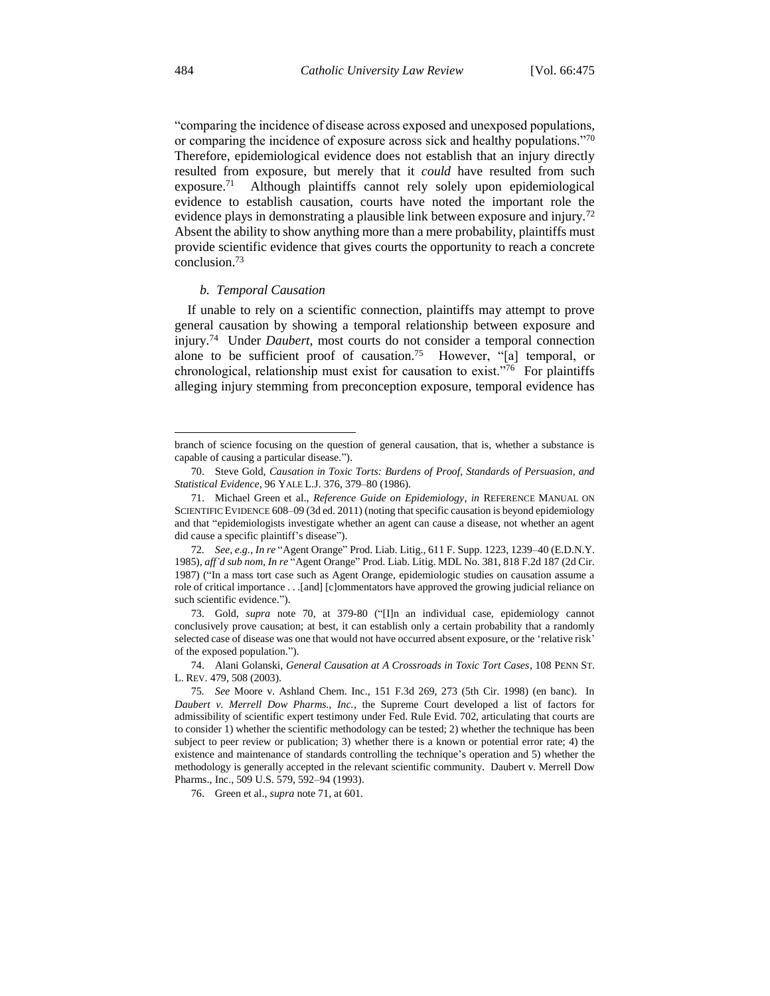"comparing the incidence of disease across exposed and unexposed populations, or comparing the incidence of exposure across sick and healthy populations."<sup>70</sup> Therefore, epidemiological evidence does not establish that an injury directly resulted from exposure, but merely that it *could* have resulted from such exposure.<sup>71</sup> Although plaintiffs cannot rely solely upon epidemiological evidence to establish causation, courts have noted the important role the evidence plays in demonstrating a plausible link between exposure and injury.<sup>72</sup> Absent the ability to show anything more than a mere probability, plaintiffs must provide scientific evidence that gives courts the opportunity to reach a concrete conclusion.<sup>73</sup>

#### *b. Temporal Causation*

If unable to rely on a scientific connection, plaintiffs may attempt to prove general causation by showing a temporal relationship between exposure and injury.<sup>74</sup> Under *Daubert*, most courts do not consider a temporal connection alone to be sufficient proof of causation.<sup>75</sup> However, "[a] temporal, or chronological, relationship must exist for causation to exist."<sup>76</sup> For plaintiffs alleging injury stemming from preconception exposure, temporal evidence has

 $\overline{a}$ 

branch of science focusing on the question of general causation, that is, whether a substance is capable of causing a particular disease.").

<sup>70.</sup> Steve Gold, *Causation in Toxic Torts: Burdens of Proof, Standards of Persuasion, and Statistical Evidence*, 96 YALE L.J. 376, 379–80 (1986).

<sup>71.</sup> Michael Green et al., *Reference Guide on Epidemiology*, *in* REFERENCE MANUAL ON SCIENTIFIC EVIDENCE 608–09 (3d ed. 2011) (noting that specific causation is beyond epidemiology and that "epidemiologists investigate whether an agent can cause a disease, not whether an agent did cause a specific plaintiff's disease").

<sup>72</sup>*. See, e.g.*, *In re* "Agent Orange" Prod. Liab. Litig., 611 F. Supp. 1223, 1239–40 (E.D.N.Y. 1985), *aff'd sub nom*, *In re* "Agent Orange" Prod. Liab. Litig. MDL No. 381, 818 F.2d 187 (2d Cir. 1987) ("In a mass tort case such as Agent Orange, epidemiologic studies on causation assume a role of critical importance . . .[and] [c]ommentators have approved the growing judicial reliance on such scientific evidence.").

<sup>73.</sup> Gold, *supra* note 70, at 379-80 ("[I]n an individual case, epidemiology cannot conclusively prove causation; at best, it can establish only a certain probability that a randomly selected case of disease was one that would not have occurred absent exposure, or the 'relative risk' of the exposed population.").

<sup>74.</sup> Alani Golanski, *General Causation at A Crossroads in Toxic Tort Cases*, 108 PENN ST. L. REV. 479, 508 (2003).

<sup>75</sup>*. See* Moore v. Ashland Chem. Inc., 151 F.3d 269, 273 (5th Cir. 1998) (en banc). In *Daubert v. Merrell Dow Pharms., Inc.*, the Supreme Court developed a list of factors for admissibility of scientific expert testimony under Fed. Rule Evid. 702, articulating that courts are to consider 1) whether the scientific methodology can be tested; 2) whether the technique has been subject to peer review or publication; 3) whether there is a known or potential error rate; 4) the existence and maintenance of standards controlling the technique's operation and 5) whether the methodology is generally accepted in the relevant scientific community. Daubert v. Merrell Dow Pharms., Inc., 509 U.S. 579, 592–94 (1993).

<sup>76.</sup> Green et al., *supra* note 71, at 601.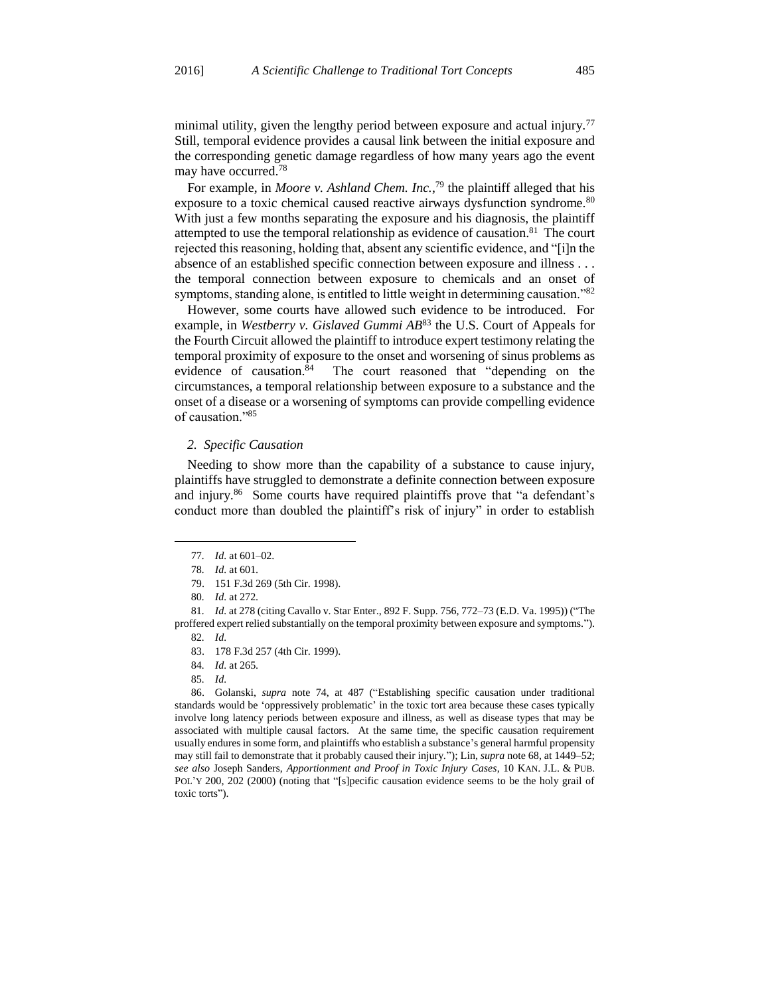minimal utility, given the lengthy period between exposure and actual injury.<sup>77</sup> Still, temporal evidence provides a causal link between the initial exposure and the corresponding genetic damage regardless of how many years ago the event may have occurred.<sup>78</sup>

For example, in *Moore v. Ashland Chem. Inc.*,<sup>79</sup> the plaintiff alleged that his exposure to a toxic chemical caused reactive airways dysfunction syndrome.<sup>80</sup> With just a few months separating the exposure and his diagnosis, the plaintiff attempted to use the temporal relationship as evidence of causation.<sup>81</sup> The court rejected this reasoning, holding that, absent any scientific evidence, and "[i]n the absence of an established specific connection between exposure and illness . . . the temporal connection between exposure to chemicals and an onset of symptoms, standing alone, is entitled to little weight in determining causation."<sup>82</sup>

However, some courts have allowed such evidence to be introduced. For example, in *Westberry v. Gislaved Gummi AB*<sup>83</sup> the U.S. Court of Appeals for the Fourth Circuit allowed the plaintiff to introduce expert testimony relating the temporal proximity of exposure to the onset and worsening of sinus problems as evidence of causation.<sup>84</sup> The court reasoned that "depending on the circumstances, a temporal relationship between exposure to a substance and the onset of a disease or a worsening of symptoms can provide compelling evidence of causation."<sup>85</sup>

#### *2. Specific Causation*

Needing to show more than the capability of a substance to cause injury, plaintiffs have struggled to demonstrate a definite connection between exposure and injury.<sup>86</sup> Some courts have required plaintiffs prove that "a defendant's conduct more than doubled the plaintiff's risk of injury" in order to establish

 $\overline{a}$ 

86. Golanski, *supra* note 74, at 487 ("Establishing specific causation under traditional standards would be 'oppressively problematic' in the toxic tort area because these cases typically involve long latency periods between exposure and illness, as well as disease types that may be associated with multiple causal factors. At the same time, the specific causation requirement usually endures in some form, and plaintiffs who establish a substance's general harmful propensity may still fail to demonstrate that it probably caused their injury."); Lin, *supra* note 68, at 1449–52; *see also* Joseph Sanders, *Apportionment and Proof in Toxic Injury Cases*, 10 KAN. J.L. & PUB. POL'Y 200, 202 (2000) (noting that "[s]pecific causation evidence seems to be the holy grail of toxic torts").

<sup>77</sup>*. Id.* at 601–02.

<sup>78</sup>*. Id.* at 601.

<sup>79.</sup> 151 F.3d 269 (5th Cir. 1998).

<sup>80</sup>*. Id.* at 272.

<sup>81</sup>*. Id.* at 278 (citing Cavallo v. Star Enter., 892 F. Supp. 756, 772–73 (E.D. Va. 1995)) ("The proffered expert relied substantially on the temporal proximity between exposure and symptoms."). 82*. Id.*

<sup>83.</sup> 178 F.3d 257 (4th Cir. 1999).

<sup>84</sup>*. Id.* at 265.

<sup>85</sup>*. Id.*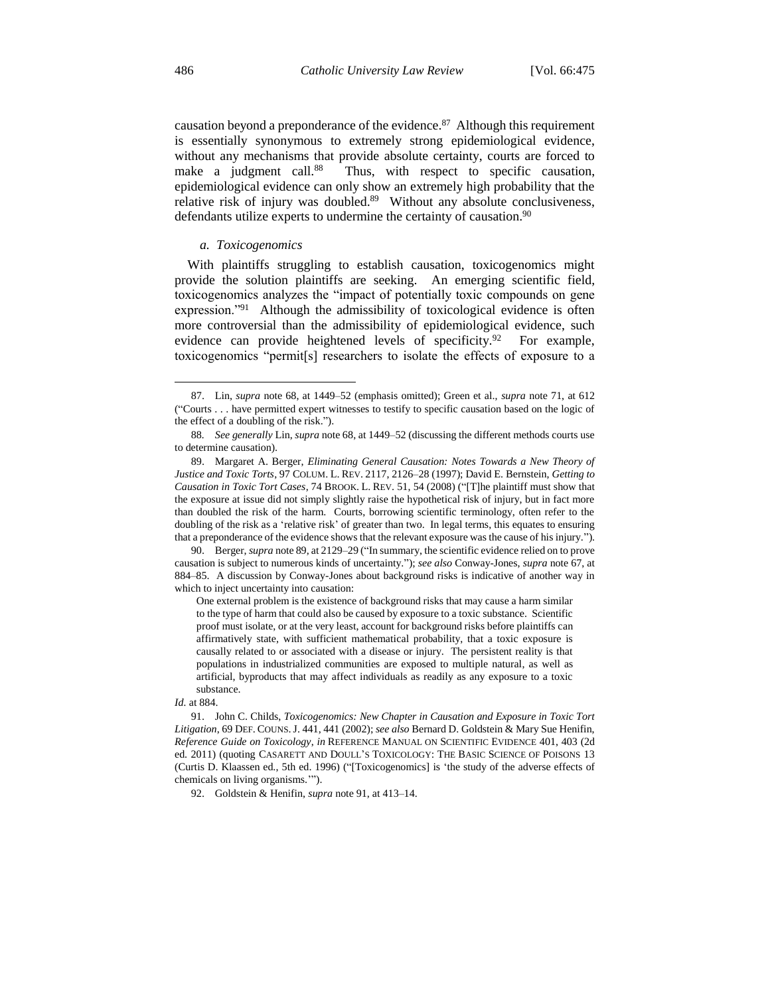causation beyond a preponderance of the evidence. $87$  Although this requirement is essentially synonymous to extremely strong epidemiological evidence, without any mechanisms that provide absolute certainty, courts are forced to make a judgment call.<sup>88</sup> Thus, with respect to specific causation, epidemiological evidence can only show an extremely high probability that the relative risk of injury was doubled.<sup>89</sup> Without any absolute conclusiveness, defendants utilize experts to undermine the certainty of causation.<sup>90</sup>

#### *a. Toxicogenomics*

With plaintiffs struggling to establish causation, toxicogenomics might provide the solution plaintiffs are seeking. An emerging scientific field, toxicogenomics analyzes the "impact of potentially toxic compounds on gene expression."<sup>91</sup> Although the admissibility of toxicological evidence is often more controversial than the admissibility of epidemiological evidence, such evidence can provide heightened levels of specificity.<sup>92</sup> For example, toxicogenomics "permit[s] researchers to isolate the effects of exposure to a

One external problem is the existence of background risks that may cause a harm similar to the type of harm that could also be caused by exposure to a toxic substance. Scientific proof must isolate, or at the very least, account for background risks before plaintiffs can affirmatively state, with sufficient mathematical probability, that a toxic exposure is causally related to or associated with a disease or injury. The persistent reality is that populations in industrialized communities are exposed to multiple natural, as well as artificial, byproducts that may affect individuals as readily as any exposure to a toxic substance.

92. Goldstein & Henifin, *supra* note 91, at 413–14.

<sup>87.</sup> Lin, *supra* note 68, at 1449–52 (emphasis omitted); Green et al., *supra* note 71, at 612 ("Courts . . . have permitted expert witnesses to testify to specific causation based on the logic of the effect of a doubling of the risk.").

<sup>88</sup>*. See generally* Lin, *supra* note 68, at 1449–52 (discussing the different methods courts use to determine causation).

<sup>89.</sup> Margaret A. Berger, *Eliminating General Causation: Notes Towards a New Theory of Justice and Toxic Torts*, 97 COLUM. L. REV. 2117, 2126–28 (1997); David E. Bernstein, *Getting to Causation in Toxic Tort Cases*, 74 BROOK. L. REV. 51, 54 (2008) ("[T]he plaintiff must show that the exposure at issue did not simply slightly raise the hypothetical risk of injury, but in fact more than doubled the risk of the harm. Courts, borrowing scientific terminology, often refer to the doubling of the risk as a 'relative risk' of greater than two. In legal terms, this equates to ensuring that a preponderance of the evidence shows that the relevant exposure was the cause of his injury.").

<sup>90.</sup> Berger, *supra* note 89, at 2129–29 ("In summary, the scientific evidence relied on to prove causation is subject to numerous kinds of uncertainty."); *see also* Conway-Jones, *supra* note 67, at 884–85. A discussion by Conway-Jones about background risks is indicative of another way in which to inject uncertainty into causation:

*Id.* at 884.

<sup>91.</sup> John C. Childs, *Toxicogenomics: New Chapter in Causation and Exposure in Toxic Tort Litigation*, 69 DEF. COUNS.J. 441, 441 (2002); *see also* Bernard D. Goldstein & Mary Sue Henifin, *Reference Guide on Toxicology*, *in* REFERENCE MANUAL ON SCIENTIFIC EVIDENCE 401, 403 (2d ed. 2011) (quoting CASARETT AND DOULL'S TOXICOLOGY: THE BASIC SCIENCE OF POISONS 13 (Curtis D. Klaassen ed., 5th ed. 1996) ("[Toxicogenomics] is 'the study of the adverse effects of chemicals on living organisms.'").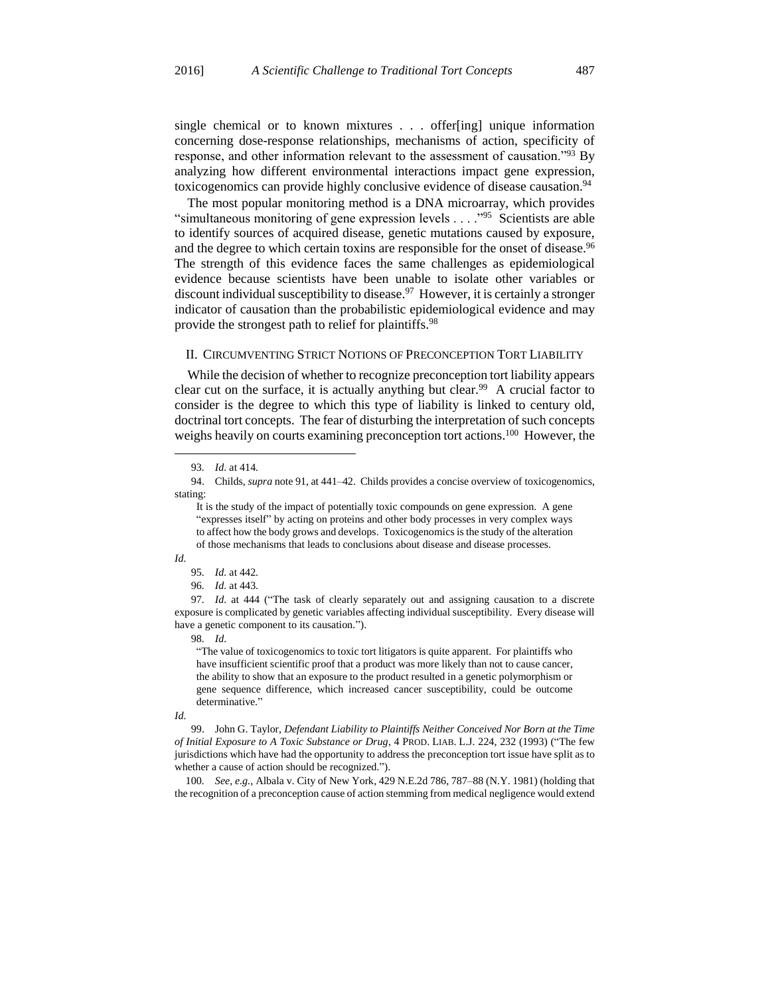single chemical or to known mixtures . . . offer[ing] unique information concerning dose-response relationships, mechanisms of action, specificity of response, and other information relevant to the assessment of causation."<sup>93</sup> By analyzing how different environmental interactions impact gene expression, toxicogenomics can provide highly conclusive evidence of disease causation.<sup>94</sup>

The most popular monitoring method is a DNA microarray, which provides "simultaneous monitoring of gene expression levels . . . . "<sup>95</sup> Scientists are able to identify sources of acquired disease, genetic mutations caused by exposure, and the degree to which certain toxins are responsible for the onset of disease.<sup>96</sup> The strength of this evidence faces the same challenges as epidemiological evidence because scientists have been unable to isolate other variables or discount individual susceptibility to disease.<sup>97</sup> However, it is certainly a stronger indicator of causation than the probabilistic epidemiological evidence and may provide the strongest path to relief for plaintiffs.<sup>98</sup>

#### II. CIRCUMVENTING STRICT NOTIONS OF PRECONCEPTION TORT LIABILITY

While the decision of whether to recognize preconception tort liability appears clear cut on the surface, it is actually anything but clear.<sup>99</sup> A crucial factor to consider is the degree to which this type of liability is linked to century old, doctrinal tort concepts. The fear of disturbing the interpretation of such concepts weighs heavily on courts examining preconception tort actions.<sup>100</sup> However, the

## *Id.*

98*. Id.*

"The value of toxicogenomics to toxic tort litigators is quite apparent. For plaintiffs who have insufficient scientific proof that a product was more likely than not to cause cancer, the ability to show that an exposure to the product resulted in a genetic polymorphism or gene sequence difference, which increased cancer susceptibility, could be outcome determinative."

#### *Id.*

99. John G. Taylor, *Defendant Liability to Plaintiffs Neither Conceived Nor Born at the Time of Initial Exposure to A Toxic Substance or Drug*, 4 PROD. LIAB. L.J. 224, 232 (1993) ("The few jurisdictions which have had the opportunity to address the preconception tort issue have split as to whether a cause of action should be recognized.").

100*. See, e.g.*, Albala v. City of New York, 429 N.E.2d 786, 787–88 (N.Y. 1981) (holding that the recognition of a preconception cause of action stemming from medical negligence would extend

<sup>93</sup>*. Id.* at 414.

<sup>94.</sup> Childs, *supra* note 91, at 441–42. Childs provides a concise overview of toxicogenomics, stating:

It is the study of the impact of potentially toxic compounds on gene expression. A gene "expresses itself" by acting on proteins and other body processes in very complex ways to affect how the body grows and develops. Toxicogenomics is the study of the alteration of those mechanisms that leads to conclusions about disease and disease processes.

<sup>95</sup>*. Id.* at 442.

<sup>96</sup>*. Id.* at 443.

<sup>97</sup>*. Id.* at 444 ("The task of clearly separately out and assigning causation to a discrete exposure is complicated by genetic variables affecting individual susceptibility. Every disease will have a genetic component to its causation.").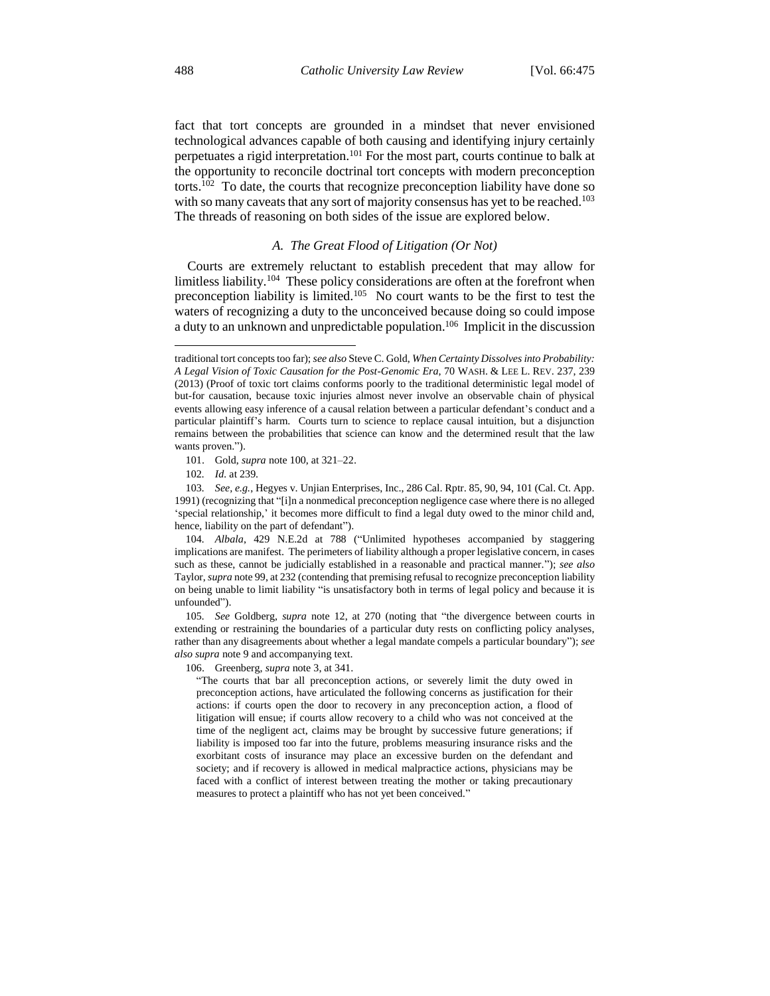fact that tort concepts are grounded in a mindset that never envisioned technological advances capable of both causing and identifying injury certainly perpetuates a rigid interpretation.<sup>101</sup> For the most part, courts continue to balk at the opportunity to reconcile doctrinal tort concepts with modern preconception torts.<sup>102</sup> To date, the courts that recognize preconception liability have done so with so many caveats that any sort of majority consensus has yet to be reached.<sup>103</sup> The threads of reasoning on both sides of the issue are explored below.

#### *A. The Great Flood of Litigation (Or Not)*

Courts are extremely reluctant to establish precedent that may allow for limitless liability.<sup>104</sup> These policy considerations are often at the forefront when preconception liability is limited.<sup>105</sup> No court wants to be the first to test the waters of recognizing a duty to the unconceived because doing so could impose a duty to an unknown and unpredictable population.<sup>106</sup> Implicit in the discussion

101. Gold, *supra* note 100, at 321–22.

102*. Id.* at 239.

103*. See, e.g.*, Hegyes v. Unjian Enterprises, Inc., 286 Cal. Rptr. 85, 90, 94, 101 (Cal. Ct. App. 1991) (recognizing that "[i]n a nonmedical preconception negligence case where there is no alleged 'special relationship,' it becomes more difficult to find a legal duty owed to the minor child and, hence, liability on the part of defendant").

104*. Albala*, 429 N.E.2d at 788 ("Unlimited hypotheses accompanied by staggering implications are manifest. The perimeters of liability although a proper legislative concern, in cases such as these, cannot be judicially established in a reasonable and practical manner."); *see also* Taylor, *supra* note 99, at 232 (contending that premising refusal to recognize preconception liability on being unable to limit liability "is unsatisfactory both in terms of legal policy and because it is unfounded").

105*. See* Goldberg, *supra* note 12, at 270 (noting that "the divergence between courts in extending or restraining the boundaries of a particular duty rests on conflicting policy analyses, rather than any disagreements about whether a legal mandate compels a particular boundary"); *see also supra* note 9 and accompanying text.

106. Greenberg, *supra* note 3, at 341.

"The courts that bar all preconception actions, or severely limit the duty owed in preconception actions, have articulated the following concerns as justification for their actions: if courts open the door to recovery in any preconception action, a flood of litigation will ensue; if courts allow recovery to a child who was not conceived at the time of the negligent act, claims may be brought by successive future generations; if liability is imposed too far into the future, problems measuring insurance risks and the exorbitant costs of insurance may place an excessive burden on the defendant and society; and if recovery is allowed in medical malpractice actions, physicians may be faced with a conflict of interest between treating the mother or taking precautionary measures to protect a plaintiff who has not yet been conceived."

 $\overline{a}$ 

traditional tort concepts too far); *see also* Steve C. Gold, *When Certainty Dissolves into Probability: A Legal Vision of Toxic Causation for the Post-Genomic Era*, 70 WASH. & LEE L. REV. 237, 239 (2013) (Proof of toxic tort claims conforms poorly to the traditional deterministic legal model of but-for causation, because toxic injuries almost never involve an observable chain of physical events allowing easy inference of a causal relation between a particular defendant's conduct and a particular plaintiff's harm. Courts turn to science to replace causal intuition, but a disjunction remains between the probabilities that science can know and the determined result that the law wants proven.").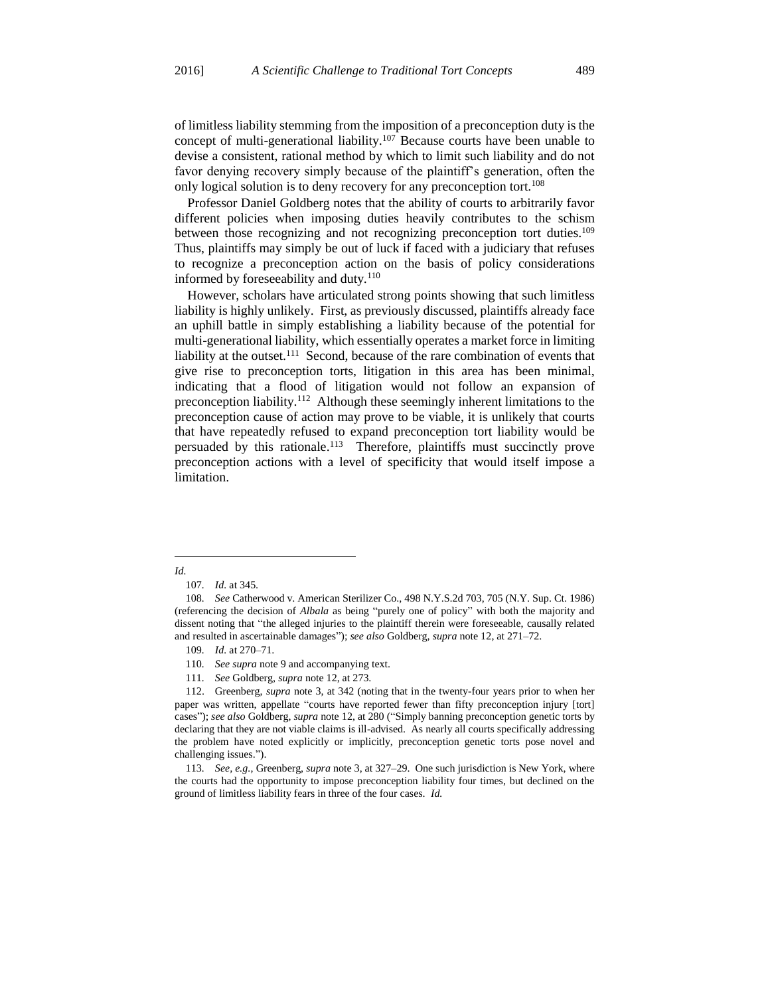of limitless liability stemming from the imposition of a preconception duty is the concept of multi-generational liability.<sup>107</sup> Because courts have been unable to devise a consistent, rational method by which to limit such liability and do not favor denying recovery simply because of the plaintiff's generation, often the only logical solution is to deny recovery for any preconception tort.<sup>108</sup>

Professor Daniel Goldberg notes that the ability of courts to arbitrarily favor different policies when imposing duties heavily contributes to the schism between those recognizing and not recognizing preconception tort duties.<sup>109</sup> Thus, plaintiffs may simply be out of luck if faced with a judiciary that refuses to recognize a preconception action on the basis of policy considerations informed by foreseeability and duty. $110$ 

However, scholars have articulated strong points showing that such limitless liability is highly unlikely. First, as previously discussed, plaintiffs already face an uphill battle in simply establishing a liability because of the potential for multi-generational liability, which essentially operates a market force in limiting liability at the outset.<sup>111</sup> Second, because of the rare combination of events that give rise to preconception torts, litigation in this area has been minimal, indicating that a flood of litigation would not follow an expansion of preconception liability.<sup>112</sup> Although these seemingly inherent limitations to the preconception cause of action may prove to be viable, it is unlikely that courts that have repeatedly refused to expand preconception tort liability would be persuaded by this rationale.<sup>113</sup> Therefore, plaintiffs must succinctly prove preconception actions with a level of specificity that would itself impose a limitation.

- 109*. Id.* at 270–71.
- 110*. See supra* note 9 and accompanying text.
- 111*. See* Goldberg, *supra* note 12, at 273.

112. Greenberg, *supra* note 3, at 342 (noting that in the twenty-four years prior to when her paper was written, appellate "courts have reported fewer than fifty preconception injury [tort] cases"); *see also* Goldberg, *supra* note 12, at 280 ("Simply banning preconception genetic torts by declaring that they are not viable claims is ill-advised. As nearly all courts specifically addressing the problem have noted explicitly or implicitly, preconception genetic torts pose novel and challenging issues.").

113*. See, e.g.*, Greenberg, *supra* note 3, at 327–29. One such jurisdiction is New York, where the courts had the opportunity to impose preconception liability four times, but declined on the ground of limitless liability fears in three of the four cases. *Id.*

 $\overline{a}$ *Id.*

<sup>107</sup>*. Id.* at 345.

<sup>108</sup>*. See* Catherwood v. American Sterilizer Co., 498 N.Y.S.2d 703, 705 (N.Y. Sup. Ct. 1986) (referencing the decision of *Albala* as being "purely one of policy" with both the majority and dissent noting that "the alleged injuries to the plaintiff therein were foreseeable, causally related and resulted in ascertainable damages"); *see also* Goldberg, *supra* note 12, at 271–72.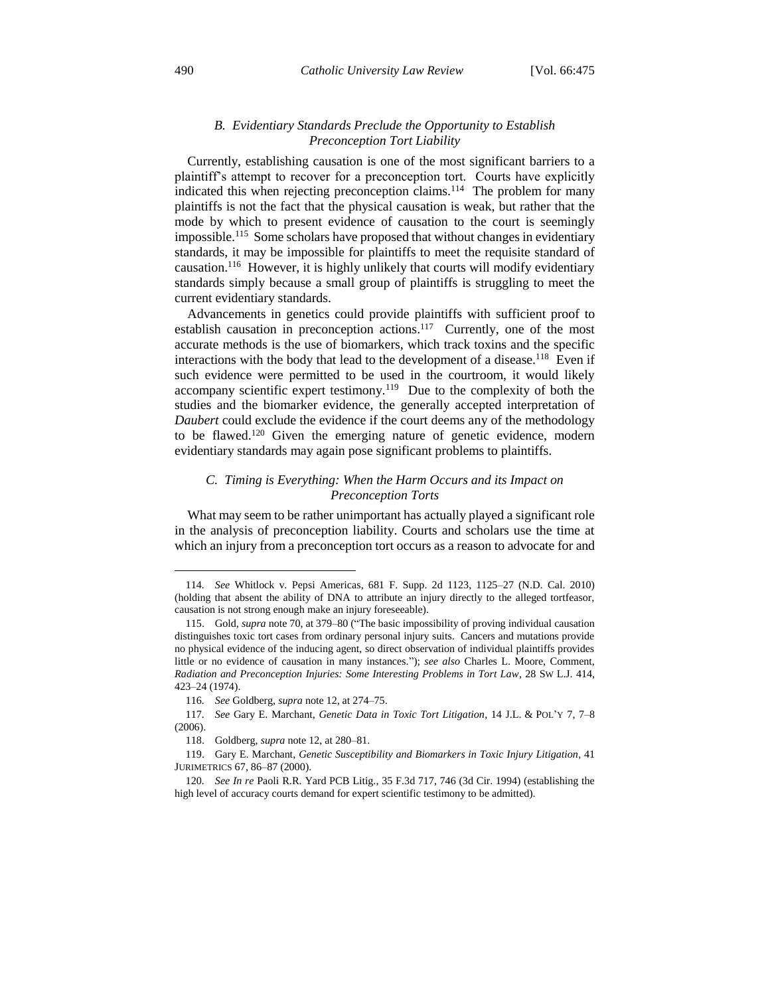#### *B. Evidentiary Standards Preclude the Opportunity to Establish Preconception Tort Liability*

Currently, establishing causation is one of the most significant barriers to a plaintiff's attempt to recover for a preconception tort. Courts have explicitly indicated this when rejecting preconception claims.<sup>114</sup> The problem for many plaintiffs is not the fact that the physical causation is weak, but rather that the mode by which to present evidence of causation to the court is seemingly impossible.<sup>115</sup> Some scholars have proposed that without changes in evidentiary standards, it may be impossible for plaintiffs to meet the requisite standard of causation.<sup>116</sup> However, it is highly unlikely that courts will modify evidentiary standards simply because a small group of plaintiffs is struggling to meet the current evidentiary standards.

Advancements in genetics could provide plaintiffs with sufficient proof to establish causation in preconception actions.<sup>117</sup> Currently, one of the most accurate methods is the use of biomarkers, which track toxins and the specific interactions with the body that lead to the development of a disease.<sup>118</sup> Even if such evidence were permitted to be used in the courtroom, it would likely  $accompany scientific expert testimony.<sup>119</sup> Due to the complexity of both the$ studies and the biomarker evidence, the generally accepted interpretation of *Daubert* could exclude the evidence if the court deems any of the methodology to be flawed.<sup>120</sup> Given the emerging nature of genetic evidence, modern evidentiary standards may again pose significant problems to plaintiffs.

## *C. Timing is Everything: When the Harm Occurs and its Impact on Preconception Torts*

What may seem to be rather unimportant has actually played a significant role in the analysis of preconception liability. Courts and scholars use the time at which an injury from a preconception tort occurs as a reason to advocate for and

<sup>114</sup>*. See* Whitlock v. Pepsi Americas, 681 F. Supp. 2d 1123, 1125–27 (N.D. Cal. 2010) (holding that absent the ability of DNA to attribute an injury directly to the alleged tortfeasor, causation is not strong enough make an injury foreseeable).

<sup>115.</sup> Gold, *supra* note 70, at 379–80 ("The basic impossibility of proving individual causation distinguishes toxic tort cases from ordinary personal injury suits. Cancers and mutations provide no physical evidence of the inducing agent, so direct observation of individual plaintiffs provides little or no evidence of causation in many instances."); *see also* Charles L. Moore, Comment, *Radiation and Preconception Injuries: Some Interesting Problems in Tort Law*, 28 SW L.J. 414, 423–24 (1974).

<sup>116</sup>*. See* Goldberg, *supra* note 12, at 274–75.

<sup>117</sup>*. See* Gary E. Marchant, *Genetic Data in Toxic Tort Litigation*, 14 J.L. & POL'Y 7, 7–8 (2006).

<sup>118.</sup> Goldberg, *supra* note 12, at 280–81.

<sup>119.</sup> Gary E. Marchant, *Genetic Susceptibility and Biomarkers in Toxic Injury Litigation*, 41 JURIMETRICS 67, 86–87 (2000).

<sup>120</sup>*. See In re* Paoli R.R. Yard PCB Litig., 35 F.3d 717, 746 (3d Cir. 1994) (establishing the high level of accuracy courts demand for expert scientific testimony to be admitted).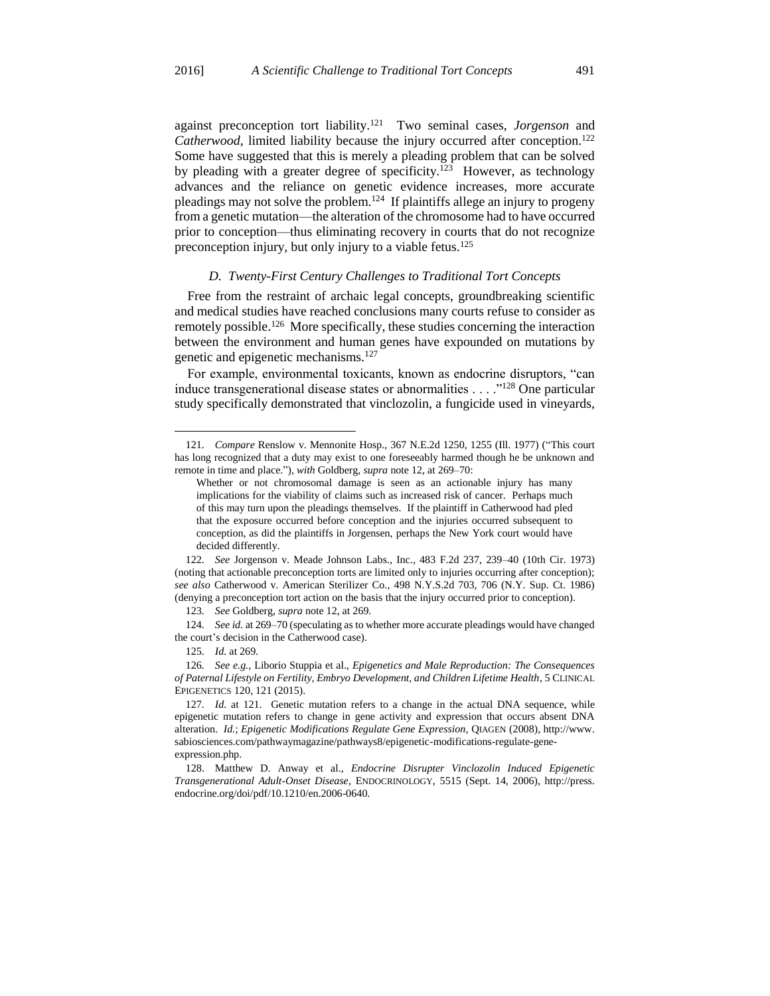against preconception tort liability.<sup>121</sup> Two seminal cases, *Jorgenson* and *Catherwood*, limited liability because the injury occurred after conception.<sup>122</sup> Some have suggested that this is merely a pleading problem that can be solved by pleading with a greater degree of specificity.<sup>123</sup> However, as technology advances and the reliance on genetic evidence increases, more accurate pleadings may not solve the problem.<sup>124</sup> If plaintiffs allege an injury to progeny from a genetic mutation—the alteration of the chromosome had to have occurred prior to conception—thus eliminating recovery in courts that do not recognize preconception injury, but only injury to a viable fetus.<sup>125</sup>

## *D. Twenty-First Century Challenges to Traditional Tort Concepts*

Free from the restraint of archaic legal concepts, groundbreaking scientific and medical studies have reached conclusions many courts refuse to consider as remotely possible.<sup>126</sup> More specifically, these studies concerning the interaction between the environment and human genes have expounded on mutations by genetic and epigenetic mechanisms.<sup>127</sup>

For example, environmental toxicants, known as endocrine disruptors, "can induce transgenerational disease states or abnormalities . . . ."<sup>128</sup> One particular study specifically demonstrated that vinclozolin, a fungicide used in vineyards,

<sup>121</sup>*. Compare* Renslow v. Mennonite Hosp., 367 N.E.2d 1250, 1255 (Ill. 1977) ("This court has long recognized that a duty may exist to one foreseeably harmed though he be unknown and remote in time and place."), *with* Goldberg, *supra* note 12, at 269–70:

Whether or not chromosomal damage is seen as an actionable injury has many implications for the viability of claims such as increased risk of cancer. Perhaps much of this may turn upon the pleadings themselves. If the plaintiff in Catherwood had pled that the exposure occurred before conception and the injuries occurred subsequent to conception, as did the plaintiffs in Jorgensen, perhaps the New York court would have decided differently.

<sup>122</sup>*. See* Jorgenson v. Meade Johnson Labs., Inc., 483 F.2d 237, 239–40 (10th Cir. 1973) (noting that actionable preconception torts are limited only to injuries occurring after conception); *see also* Catherwood v. American Sterilizer Co., 498 N.Y.S.2d 703, 706 (N.Y. Sup. Ct. 1986) (denying a preconception tort action on the basis that the injury occurred prior to conception).

<sup>123</sup>*. See* Goldberg, *supra* note 12, at 269.

<sup>124</sup>*. See id.* at 269–70 (speculating as to whether more accurate pleadings would have changed the court's decision in the Catherwood case).

<sup>125</sup>*. Id.* at 269.

<sup>126</sup>*. See e.g.*, Liborio Stuppia et al., *Epigenetics and Male Reproduction: The Consequences of Paternal Lifestyle on Fertility, Embryo Development, and Children Lifetime Health*, 5 CLINICAL EPIGENETICS 120, 121 (2015).

<sup>127</sup>*. Id.* at 121. Genetic mutation refers to a change in the actual DNA sequence, while epigenetic mutation refers to change in gene activity and expression that occurs absent DNA alteration. *Id.*; *Epigenetic Modifications Regulate Gene Expression*, QIAGEN (2008), http://www. sabiosciences.com/pathwaymagazine/pathways8/epigenetic-modifications-regulate-geneexpression.php.

<sup>128.</sup> Matthew D. Anway et al., *Endocrine Disrupter Vinclozolin Induced Epigenetic Transgenerational Adult-Onset Disease*, ENDOCRINOLOGY, 5515 (Sept. 14, 2006), http://press. endocrine.org/doi/pdf/10.1210/en.2006-0640.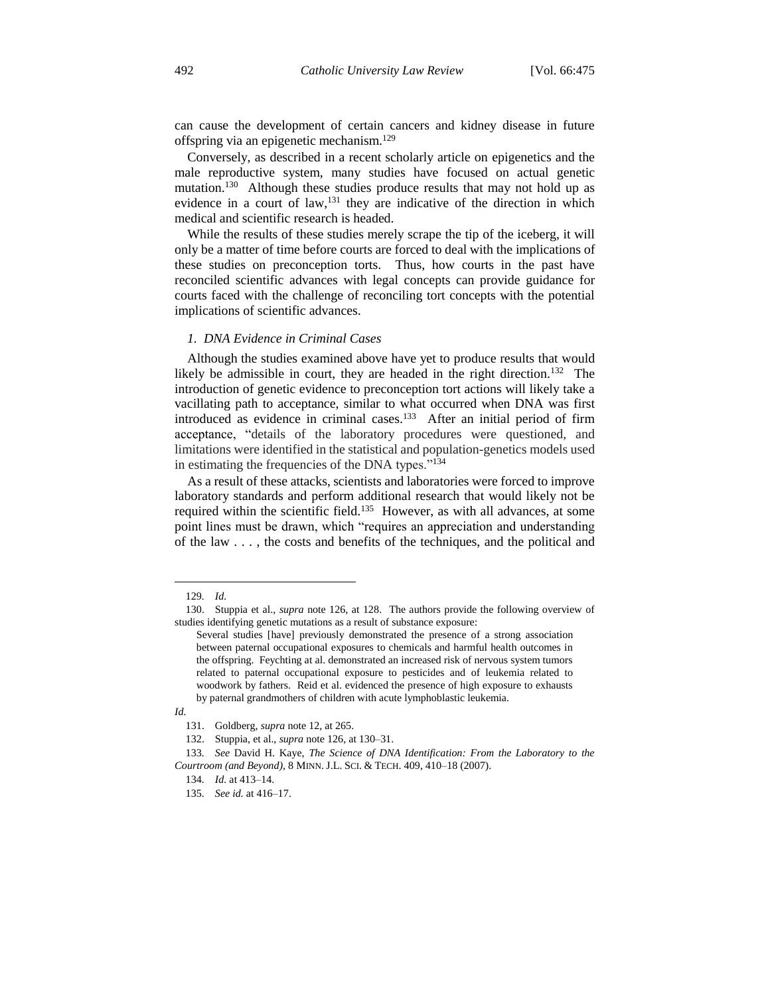can cause the development of certain cancers and kidney disease in future offspring via an epigenetic mechanism.<sup>129</sup>

Conversely, as described in a recent scholarly article on epigenetics and the male reproductive system, many studies have focused on actual genetic mutation.<sup>130</sup> Although these studies produce results that may not hold up as evidence in a court of law,<sup>131</sup> they are indicative of the direction in which medical and scientific research is headed.

While the results of these studies merely scrape the tip of the iceberg, it will only be a matter of time before courts are forced to deal with the implications of these studies on preconception torts. Thus, how courts in the past have reconciled scientific advances with legal concepts can provide guidance for courts faced with the challenge of reconciling tort concepts with the potential implications of scientific advances.

#### *1. DNA Evidence in Criminal Cases*

Although the studies examined above have yet to produce results that would likely be admissible in court, they are headed in the right direction.<sup>132</sup> The introduction of genetic evidence to preconception tort actions will likely take a vacillating path to acceptance, similar to what occurred when DNA was first introduced as evidence in criminal cases.<sup>133</sup> After an initial period of firm acceptance, "details of the laboratory procedures were questioned, and limitations were identified in the statistical and population-genetics models used in estimating the frequencies of the DNA types."<sup>134</sup>

As a result of these attacks, scientists and laboratories were forced to improve laboratory standards and perform additional research that would likely not be required within the scientific field.<sup>135</sup> However, as with all advances, at some point lines must be drawn, which "requires an appreciation and understanding of the law . . . , the costs and benefits of the techniques, and the political and

<sup>129</sup>*. Id.*

<sup>130.</sup> Stuppia et al., *supra* note 126, at 128. The authors provide the following overview of studies identifying genetic mutations as a result of substance exposure:

Several studies [have] previously demonstrated the presence of a strong association between paternal occupational exposures to chemicals and harmful health outcomes in the offspring. Feychting at al. demonstrated an increased risk of nervous system tumors related to paternal occupational exposure to pesticides and of leukemia related to woodwork by fathers. Reid et al. evidenced the presence of high exposure to exhausts by paternal grandmothers of children with acute lymphoblastic leukemia.

*Id.*

<sup>131.</sup> Goldberg, *supra* note 12, at 265.

<sup>132.</sup> Stuppia, et al., *supra* note 126, at 130–31.

<sup>133</sup>*. See* David H. Kaye, *The Science of DNA Identification: From the Laboratory to the Courtroom (and Beyond)*, 8 MINN. J.L. SCI. & TECH. 409, 410–18 (2007).

<sup>134</sup>*. Id.* at 413–14.

<sup>135</sup>*. See id.* at 416–17.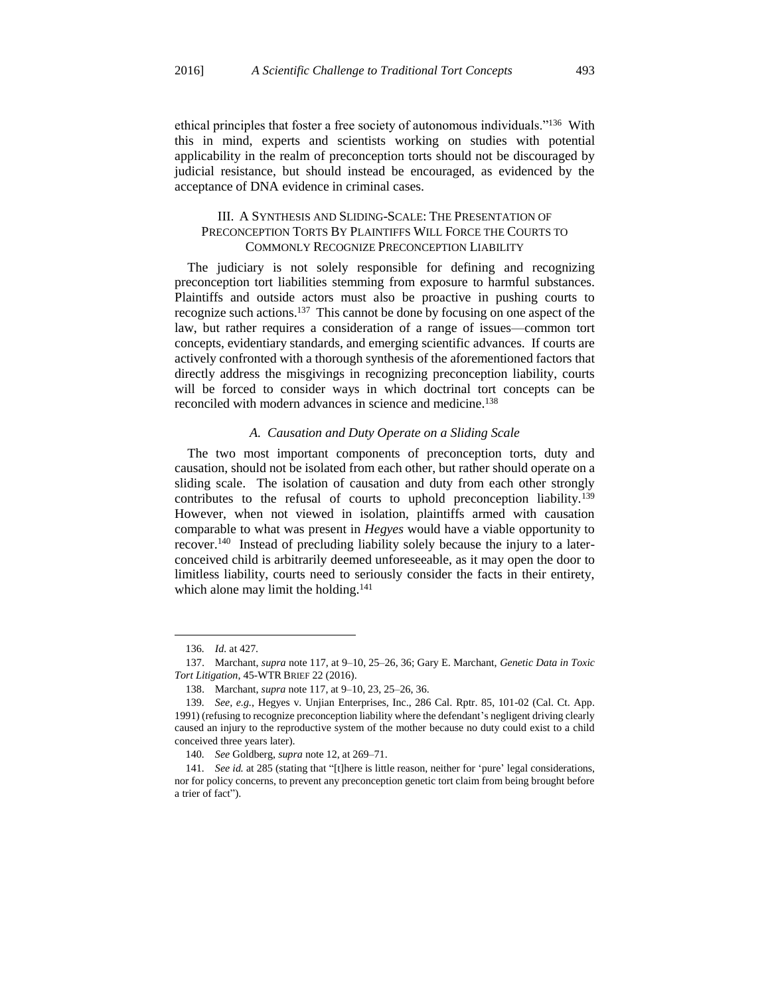ethical principles that foster a free society of autonomous individuals."<sup>136</sup> With this in mind, experts and scientists working on studies with potential applicability in the realm of preconception torts should not be discouraged by judicial resistance, but should instead be encouraged, as evidenced by the acceptance of DNA evidence in criminal cases.

## III. A SYNTHESIS AND SLIDING-SCALE: THE PRESENTATION OF PRECONCEPTION TORTS BY PLAINTIFFS WILL FORCE THE COURTS TO COMMONLY RECOGNIZE PRECONCEPTION LIABILITY

The judiciary is not solely responsible for defining and recognizing preconception tort liabilities stemming from exposure to harmful substances. Plaintiffs and outside actors must also be proactive in pushing courts to recognize such actions.<sup>137</sup> This cannot be done by focusing on one aspect of the law, but rather requires a consideration of a range of issues—common tort concepts, evidentiary standards, and emerging scientific advances. If courts are actively confronted with a thorough synthesis of the aforementioned factors that directly address the misgivings in recognizing preconception liability, courts will be forced to consider ways in which doctrinal tort concepts can be reconciled with modern advances in science and medicine.<sup>138</sup>

#### *A. Causation and Duty Operate on a Sliding Scale*

The two most important components of preconception torts, duty and causation, should not be isolated from each other, but rather should operate on a sliding scale. The isolation of causation and duty from each other strongly contributes to the refusal of courts to uphold preconception liability.<sup>139</sup> However, when not viewed in isolation, plaintiffs armed with causation comparable to what was present in *Hegyes* would have a viable opportunity to recover.<sup>140</sup> Instead of precluding liability solely because the injury to a laterconceived child is arbitrarily deemed unforeseeable, as it may open the door to limitless liability, courts need to seriously consider the facts in their entirety, which alone may limit the holding.<sup>141</sup>

<sup>136</sup>*. Id.* at 427.

<sup>137.</sup> Marchant, *supra* note 117, at 9–10, 25–26, 36; Gary E. Marchant, *Genetic Data in Toxic Tort Litigation*, 45-WTR BRIEF 22 (2016).

<sup>138.</sup> Marchant, *supra* note 117, at 9–10, 23, 25–26, 36.

<sup>139</sup>*. See, e.g.*, Hegyes v. Unjian Enterprises, Inc., 286 Cal. Rptr. 85, 101-02 (Cal. Ct. App. 1991) (refusing to recognize preconception liability where the defendant's negligent driving clearly caused an injury to the reproductive system of the mother because no duty could exist to a child conceived three years later).

<sup>140</sup>*. See* Goldberg, *supra* note 12, at 269–71.

<sup>141</sup>*. See id.* at 285 (stating that "[t]here is little reason, neither for 'pure' legal considerations, nor for policy concerns, to prevent any preconception genetic tort claim from being brought before a trier of fact").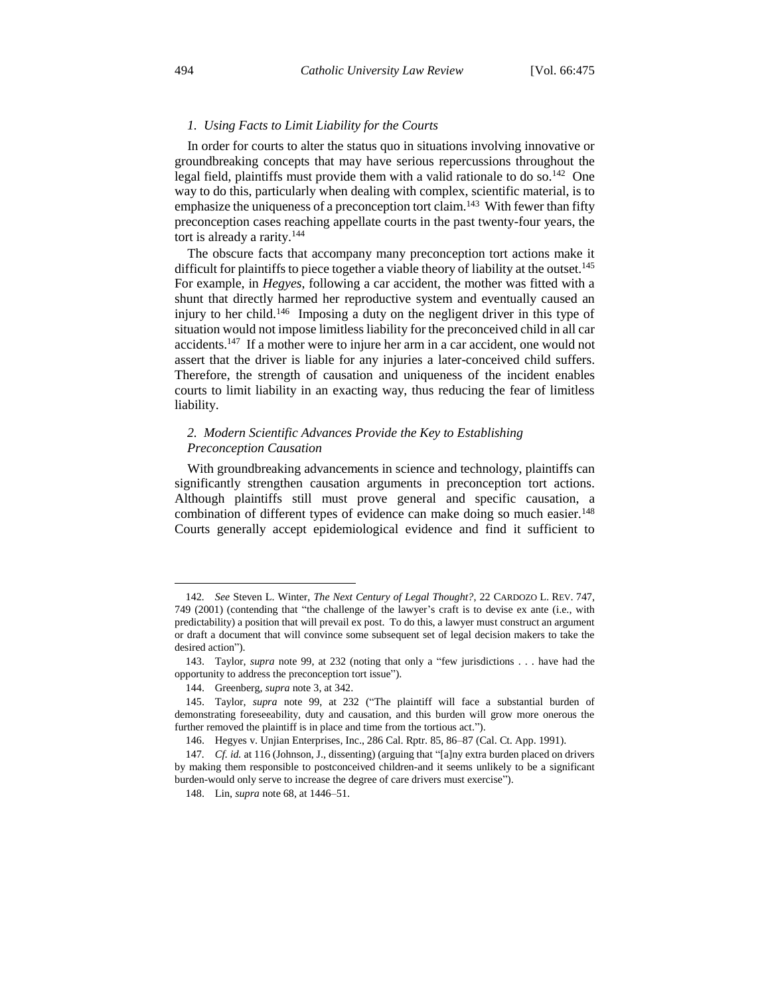#### *1. Using Facts to Limit Liability for the Courts*

In order for courts to alter the status quo in situations involving innovative or groundbreaking concepts that may have serious repercussions throughout the legal field, plaintiffs must provide them with a valid rationale to do so.<sup>142</sup> One way to do this, particularly when dealing with complex, scientific material, is to emphasize the uniqueness of a preconception tort claim.<sup>143</sup> With fewer than fifty preconception cases reaching appellate courts in the past twenty-four years, the tort is already a rarity.<sup>144</sup>

The obscure facts that accompany many preconception tort actions make it difficult for plaintiffs to piece together a viable theory of liability at the outset.<sup>145</sup> For example, in *Hegyes*, following a car accident, the mother was fitted with a shunt that directly harmed her reproductive system and eventually caused an injury to her child.<sup>146</sup> Imposing a duty on the negligent driver in this type of situation would not impose limitless liability for the preconceived child in all car accidents.<sup>147</sup> If a mother were to injure her arm in a car accident, one would not assert that the driver is liable for any injuries a later-conceived child suffers. Therefore, the strength of causation and uniqueness of the incident enables courts to limit liability in an exacting way, thus reducing the fear of limitless liability.

## *2. Modern Scientific Advances Provide the Key to Establishing Preconception Causation*

With groundbreaking advancements in science and technology, plaintiffs can significantly strengthen causation arguments in preconception tort actions. Although plaintiffs still must prove general and specific causation, a combination of different types of evidence can make doing so much easier.<sup>148</sup> Courts generally accept epidemiological evidence and find it sufficient to

 $\overline{a}$ 

<sup>142</sup>*. See* Steven L. Winter, *The Next Century of Legal Thought?*, 22 CARDOZO L. REV. 747, 749 (2001) (contending that "the challenge of the lawyer's craft is to devise ex ante (i.e., with predictability) a position that will prevail ex post. To do this, a lawyer must construct an argument or draft a document that will convince some subsequent set of legal decision makers to take the desired action").

<sup>143.</sup> Taylor, *supra* note 99, at 232 (noting that only a "few jurisdictions . . . have had the opportunity to address the preconception tort issue").

<sup>144.</sup> Greenberg, *supra* note 3, at 342.

<sup>145.</sup> Taylor, *supra* note 99, at 232 ("The plaintiff will face a substantial burden of demonstrating foreseeability, duty and causation, and this burden will grow more onerous the further removed the plaintiff is in place and time from the tortious act.").

<sup>146.</sup> Hegyes v. Unjian Enterprises, Inc., 286 Cal. Rptr. 85, 86–87 (Cal. Ct. App. 1991).

<sup>147</sup>*. Cf. id.* at 116 (Johnson, J., dissenting) (arguing that "[a]ny extra burden placed on drivers by making them responsible to postconceived children-and it seems unlikely to be a significant burden-would only serve to increase the degree of care drivers must exercise").

<sup>148.</sup> Lin, *supra* note 68, at 1446–51.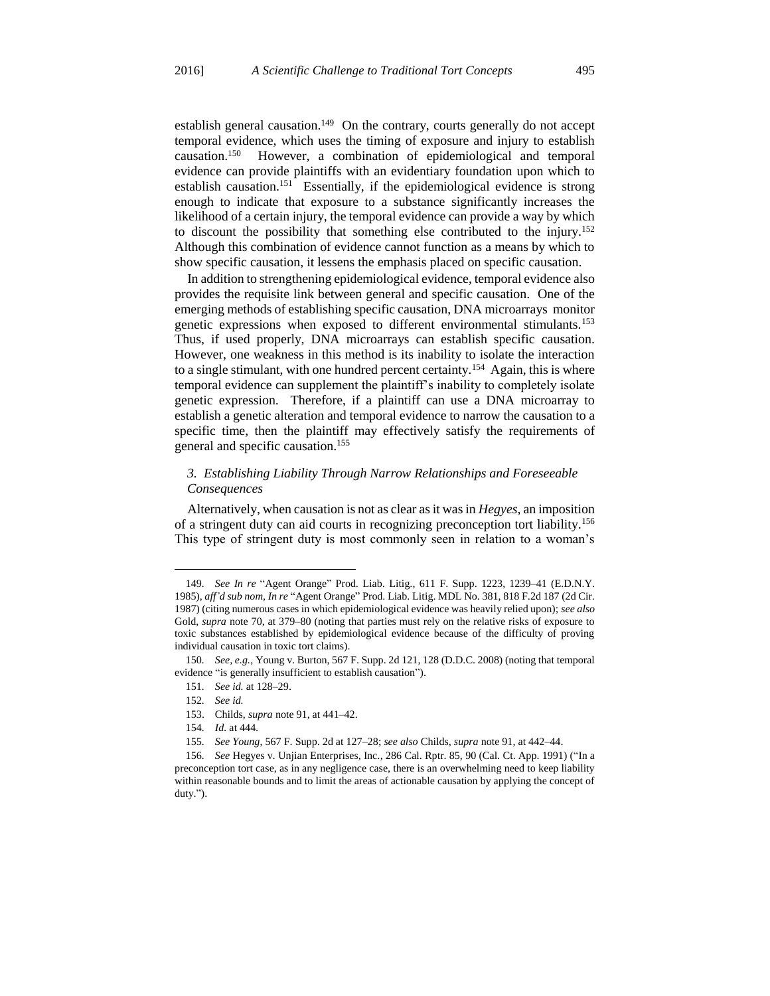establish general causation.<sup>149</sup> On the contrary, courts generally do not accept temporal evidence, which uses the timing of exposure and injury to establish causation.<sup>150</sup> However, a combination of epidemiological and temporal evidence can provide plaintiffs with an evidentiary foundation upon which to establish causation.<sup>151</sup> Essentially, if the epidemiological evidence is strong enough to indicate that exposure to a substance significantly increases the likelihood of a certain injury, the temporal evidence can provide a way by which to discount the possibility that something else contributed to the injury.<sup>152</sup> Although this combination of evidence cannot function as a means by which to show specific causation, it lessens the emphasis placed on specific causation.

In addition to strengthening epidemiological evidence, temporal evidence also provides the requisite link between general and specific causation. One of the emerging methods of establishing specific causation, DNA microarrays monitor genetic expressions when exposed to different environmental stimulants.<sup>153</sup> Thus, if used properly, DNA microarrays can establish specific causation. However, one weakness in this method is its inability to isolate the interaction to a single stimulant, with one hundred percent certainty.<sup>154</sup> Again, this is where temporal evidence can supplement the plaintiff's inability to completely isolate genetic expression. Therefore, if a plaintiff can use a DNA microarray to establish a genetic alteration and temporal evidence to narrow the causation to a specific time, then the plaintiff may effectively satisfy the requirements of general and specific causation.<sup>155</sup>

## *3. Establishing Liability Through Narrow Relationships and Foreseeable Consequences*

Alternatively, when causation is not as clear as it was in *Hegyes*, an imposition of a stringent duty can aid courts in recognizing preconception tort liability.<sup>156</sup> This type of stringent duty is most commonly seen in relation to a woman's

<sup>149</sup>*. See In re* "Agent Orange" Prod. Liab. Litig., 611 F. Supp. 1223, 1239–41 (E.D.N.Y. 1985), *aff'd sub nom, In re* "Agent Orange" Prod. Liab. Litig. MDL No. 381, 818 F.2d 187 (2d Cir. 1987) (citing numerous cases in which epidemiological evidence was heavily relied upon); *see also* Gold, *supra* note 70, at 379–80 (noting that parties must rely on the relative risks of exposure to toxic substances established by epidemiological evidence because of the difficulty of proving individual causation in toxic tort claims).

<sup>150</sup>*. See, e.g.*, Young v. Burton, 567 F. Supp. 2d 121, 128 (D.D.C. 2008) (noting that temporal evidence "is generally insufficient to establish causation").

<sup>151</sup>*. See id.* at 128–29.

<sup>152</sup>*. See id.*

<sup>153.</sup> Childs, *supra* note 91, at 441–42.

<sup>154</sup>*. Id.* at 444.

<sup>155</sup>*. See Young*, 567 F. Supp. 2d at 127–28; *see also* Childs, *supra* note 91, at 442–44.

<sup>156</sup>*. See* Hegyes v. Unjian Enterprises, Inc., 286 Cal. Rptr. 85, 90 (Cal. Ct. App. 1991) ("In a preconception tort case, as in any negligence case, there is an overwhelming need to keep liability within reasonable bounds and to limit the areas of actionable causation by applying the concept of duty.").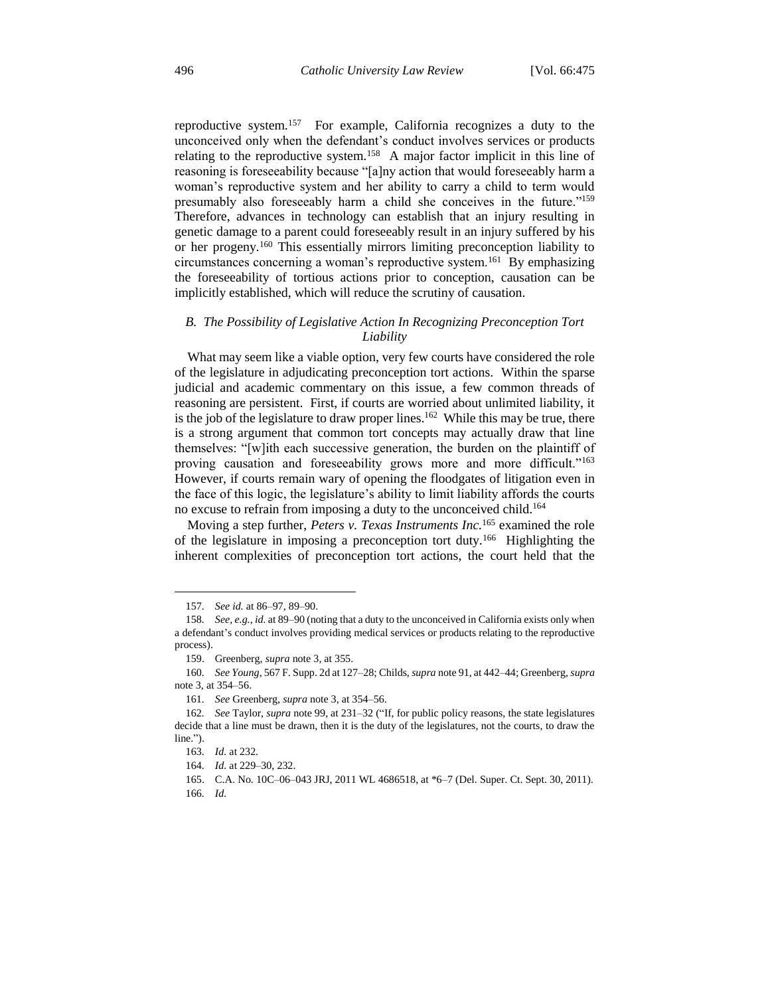reproductive system.<sup>157</sup> For example, California recognizes a duty to the unconceived only when the defendant's conduct involves services or products relating to the reproductive system.<sup>158</sup> A major factor implicit in this line of reasoning is foreseeability because "[a]ny action that would foreseeably harm a woman's reproductive system and her ability to carry a child to term would presumably also foreseeably harm a child she conceives in the future."<sup>159</sup> Therefore, advances in technology can establish that an injury resulting in genetic damage to a parent could foreseeably result in an injury suffered by his or her progeny.<sup>160</sup> This essentially mirrors limiting preconception liability to circumstances concerning a woman's reproductive system.<sup>161</sup> By emphasizing the foreseeability of tortious actions prior to conception, causation can be implicitly established, which will reduce the scrutiny of causation.

## *B. The Possibility of Legislative Action In Recognizing Preconception Tort Liability*

What may seem like a viable option, very few courts have considered the role of the legislature in adjudicating preconception tort actions. Within the sparse judicial and academic commentary on this issue, a few common threads of reasoning are persistent. First, if courts are worried about unlimited liability, it is the job of the legislature to draw proper lines.<sup>162</sup> While this may be true, there is a strong argument that common tort concepts may actually draw that line themselves: "[w]ith each successive generation, the burden on the plaintiff of proving causation and foreseeability grows more and more difficult."<sup>163</sup> However, if courts remain wary of opening the floodgates of litigation even in the face of this logic, the legislature's ability to limit liability affords the courts no excuse to refrain from imposing a duty to the unconceived child.<sup>164</sup>

Moving a step further, *Peters v. Texas Instruments Inc.*<sup>165</sup> examined the role of the legislature in imposing a preconception tort duty.<sup>166</sup> Highlighting the inherent complexities of preconception tort actions, the court held that the

<sup>157</sup>*. See id.* at 86–97, 89–90.

<sup>158</sup>*. See, e.g.*, *id.* at 89–90 (noting that a duty to the unconceived in California exists only when a defendant's conduct involves providing medical services or products relating to the reproductive process).

<sup>159.</sup> Greenberg, *supra* note 3, at 355.

<sup>160</sup>*. See Young*, 567 F. Supp. 2d at 127–28; Childs, *supra* note 91, at 442–44; Greenberg, *supra* note 3, at 354–56.

<sup>161</sup>*. See* Greenberg, *supra* note 3, at 354–56.

<sup>162</sup>*. See* Taylor, *supra* note 99, at 231–32 ("If, for public policy reasons, the state legislatures decide that a line must be drawn, then it is the duty of the legislatures, not the courts, to draw the line.").

<sup>163</sup>*. Id.* at 232.

<sup>164</sup>*. Id.* at 229–30, 232.

<sup>165.</sup> C.A. No. 10C–06–043 JRJ, 2011 WL 4686518, at \*6–7 (Del. Super. Ct. Sept. 30, 2011).

<sup>166</sup>*. Id.*